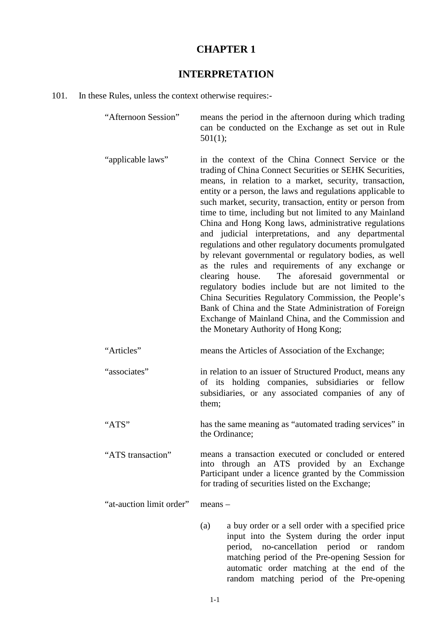### **CHAPTER 1**

## **INTERPRETATION**

### 101. In these Rules, unless the context otherwise requires:-

| "Afternoon Session"      | means the period in the afternoon during which trading<br>can be conducted on the Exchange as set out in Rule<br>501(1);                                                                                                                                                                                                                                                                                                                                                                                                                                                                                                                                                                                                                                                                                                                                                                                                                                                                     |
|--------------------------|----------------------------------------------------------------------------------------------------------------------------------------------------------------------------------------------------------------------------------------------------------------------------------------------------------------------------------------------------------------------------------------------------------------------------------------------------------------------------------------------------------------------------------------------------------------------------------------------------------------------------------------------------------------------------------------------------------------------------------------------------------------------------------------------------------------------------------------------------------------------------------------------------------------------------------------------------------------------------------------------|
| "applicable laws"        | in the context of the China Connect Service or the<br>trading of China Connect Securities or SEHK Securities,<br>means, in relation to a market, security, transaction,<br>entity or a person, the laws and regulations applicable to<br>such market, security, transaction, entity or person from<br>time to time, including but not limited to any Mainland<br>China and Hong Kong laws, administrative regulations<br>and judicial interpretations, and any departmental<br>regulations and other regulatory documents promulgated<br>by relevant governmental or regulatory bodies, as well<br>as the rules and requirements of any exchange or<br>The aforesaid governmental<br>clearing house.<br><sub>or</sub><br>regulatory bodies include but are not limited to the<br>China Securities Regulatory Commission, the People's<br>Bank of China and the State Administration of Foreign<br>Exchange of Mainland China, and the Commission and<br>the Monetary Authority of Hong Kong; |
| "Articles"               | means the Articles of Association of the Exchange;                                                                                                                                                                                                                                                                                                                                                                                                                                                                                                                                                                                                                                                                                                                                                                                                                                                                                                                                           |
| "associates"             | in relation to an issuer of Structured Product, means any<br>of its holding companies, subsidiaries or fellow<br>subsidiaries, or any associated companies of any of<br>them;                                                                                                                                                                                                                                                                                                                                                                                                                                                                                                                                                                                                                                                                                                                                                                                                                |
| "ATS"                    | has the same meaning as "automated trading services" in<br>the Ordinance;                                                                                                                                                                                                                                                                                                                                                                                                                                                                                                                                                                                                                                                                                                                                                                                                                                                                                                                    |
| "ATS transaction"        | means a transaction executed or concluded or entered<br>into through an ATS provided by an Exchange<br>Participant under a licence granted by the Commission<br>for trading of securities listed on the Exchange;                                                                                                                                                                                                                                                                                                                                                                                                                                                                                                                                                                                                                                                                                                                                                                            |
| "at-auction limit order" | $means -$                                                                                                                                                                                                                                                                                                                                                                                                                                                                                                                                                                                                                                                                                                                                                                                                                                                                                                                                                                                    |
|                          | a buy order or a sell order with a specified price<br>(a)<br>input into the System during the order input<br>period, no-cancellation period<br><b>or</b><br>random<br>matching period of the Pre-opening Session for                                                                                                                                                                                                                                                                                                                                                                                                                                                                                                                                                                                                                                                                                                                                                                         |

automatic order matching at the end of the random matching period of the Pre-opening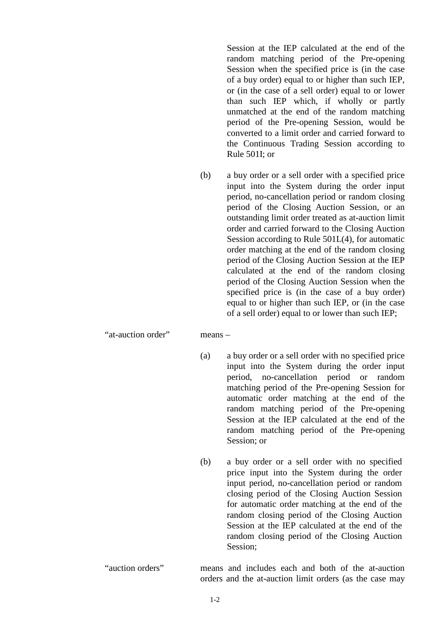Session at the IEP calculated at the end of the random matching period of the Pre-opening Session when the specified price is (in the case of a buy order) equal to or higher than such IEP, or (in the case of a sell order) equal to or lower than such IEP which, if wholly or partly unmatched at the end of the random matching period of the Pre-opening Session, would be converted to a limit order and carried forward to the Continuous Trading Session according to Rule 501I; or

(b) a buy order or a sell order with a specified price input into the System during the order input period, no-cancellation period or random closing period of the Closing Auction Session, or an outstanding limit order treated as at-auction limit order and carried forward to the Closing Auction Session according to Rule 501L(4), for automatic order matching at the end of the random closing period of the Closing Auction Session at the IEP calculated at the end of the random closing period of the Closing Auction Session when the specified price is (in the case of a buy order) equal to or higher than such IEP, or (in the case of a sell order) equal to or lower than such IEP;

"at-auction order" means –

- (a) a buy order or a sell order with no specified price input into the System during the order input period, no-cancellation period or random matching period of the Pre-opening Session for automatic order matching at the end of the random matching period of the Pre-opening Session at the IEP calculated at the end of the random matching period of the Pre-opening Session; or
- (b) a buy order or a sell order with no specified price input into the System during the order input period, no-cancellation period or random closing period of the Closing Auction Session for automatic order matching at the end of the random closing period of the Closing Auction Session at the IEP calculated at the end of the random closing period of the Closing Auction Session;
- "auction orders" means and includes each and both of the at-auction orders and the at-auction limit orders (as the case may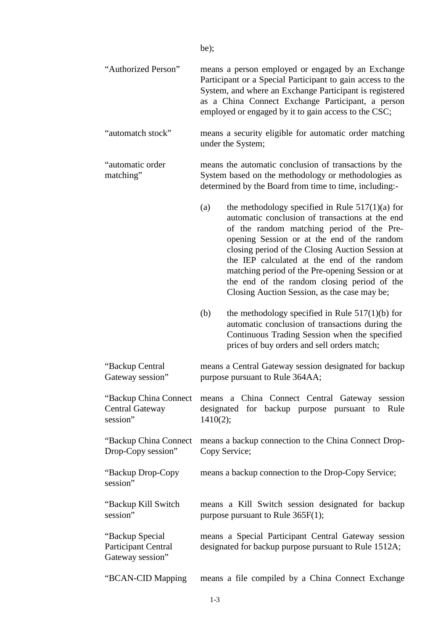|                                                              | be);                                                                                                                                                                                                                                                                                                                                                                                                                                                          |
|--------------------------------------------------------------|---------------------------------------------------------------------------------------------------------------------------------------------------------------------------------------------------------------------------------------------------------------------------------------------------------------------------------------------------------------------------------------------------------------------------------------------------------------|
| "Authorized Person"                                          | means a person employed or engaged by an Exchange<br>Participant or a Special Participant to gain access to the<br>System, and where an Exchange Participant is registered<br>as a China Connect Exchange Participant, a person<br>employed or engaged by it to gain access to the CSC;                                                                                                                                                                       |
| "automatch stock"                                            | means a security eligible for automatic order matching<br>under the System;                                                                                                                                                                                                                                                                                                                                                                                   |
| "automatic order<br>matching"                                | means the automatic conclusion of transactions by the<br>System based on the methodology or methodologies as<br>determined by the Board from time to time, including:-                                                                                                                                                                                                                                                                                        |
|                                                              | the methodology specified in Rule $517(1)(a)$ for<br>(a)<br>automatic conclusion of transactions at the end<br>of the random matching period of the Pre-<br>opening Session or at the end of the random<br>closing period of the Closing Auction Session at<br>the IEP calculated at the end of the random<br>matching period of the Pre-opening Session or at<br>the end of the random closing period of the<br>Closing Auction Session, as the case may be; |
|                                                              | the methodology specified in Rule $517(1)(b)$ for<br>(b)<br>automatic conclusion of transactions during the<br>Continuous Trading Session when the specified<br>prices of buy orders and sell orders match;                                                                                                                                                                                                                                                   |
| "Backup Central<br>Gateway session"                          | means a Central Gateway session designated for backup<br>purpose pursuant to Rule 364AA;                                                                                                                                                                                                                                                                                                                                                                      |
| "Backup China Connect"<br><b>Central Gateway</b><br>session" | means a China Connect Central Gateway session<br>designated for backup purpose pursuant to Rule<br>1410(2);                                                                                                                                                                                                                                                                                                                                                   |
| "Backup China Connect"<br>Drop-Copy session"                 | means a backup connection to the China Connect Drop-<br>Copy Service;                                                                                                                                                                                                                                                                                                                                                                                         |
| "Backup Drop-Copy<br>session"                                | means a backup connection to the Drop-Copy Service;                                                                                                                                                                                                                                                                                                                                                                                                           |
| "Backup Kill Switch"<br>session"                             | means a Kill Switch session designated for backup<br>purpose pursuant to Rule $365F(1)$ ;                                                                                                                                                                                                                                                                                                                                                                     |
| "Backup Special"<br>Participant Central<br>Gateway session"  | means a Special Participant Central Gateway session<br>designated for backup purpose pursuant to Rule 1512A;                                                                                                                                                                                                                                                                                                                                                  |
| "BCAN-CID Mapping                                            | means a file compiled by a China Connect Exchange                                                                                                                                                                                                                                                                                                                                                                                                             |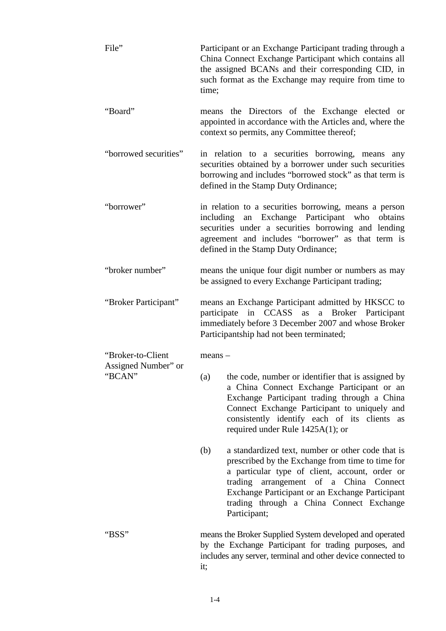| File"                                    | Participant or an Exchange Participant trading through a<br>China Connect Exchange Participant which contains all<br>the assigned BCANs and their corresponding CID, in<br>such format as the Exchange may require from time to<br>time;                                                                                |
|------------------------------------------|-------------------------------------------------------------------------------------------------------------------------------------------------------------------------------------------------------------------------------------------------------------------------------------------------------------------------|
| "Board"                                  | means the Directors of the Exchange elected or<br>appointed in accordance with the Articles and, where the<br>context so permits, any Committee thereof;                                                                                                                                                                |
| "borrowed securities"                    | in relation to a securities borrowing, means any<br>securities obtained by a borrower under such securities<br>borrowing and includes "borrowed stock" as that term is<br>defined in the Stamp Duty Ordinance;                                                                                                          |
| "borrower"                               | in relation to a securities borrowing, means a person<br>including an Exchange Participant who obtains<br>securities under a securities borrowing and lending<br>agreement and includes "borrower" as that term is<br>defined in the Stamp Duty Ordinance;                                                              |
| "broker number"                          | means the unique four digit number or numbers as may<br>be assigned to every Exchange Participant trading;                                                                                                                                                                                                              |
| "Broker Participant"                     | means an Exchange Participant admitted by HKSCC to<br>participate in CCASS as a Broker Participant<br>immediately before 3 December 2007 and whose Broker<br>Participantship had not been terminated;                                                                                                                   |
| "Broker-to-Client<br>Assigned Number" or | $means -$                                                                                                                                                                                                                                                                                                               |
| "BCAN"                                   | (a) the code, number or identifier that is assigned by<br>a China Connect Exchange Participant or an<br>Exchange Participant trading through a China<br>Connect Exchange Participant to uniquely and<br>consistently identify each of its clients as<br>required under Rule $1425A(1)$ ; or                             |
|                                          | (b)<br>a standardized text, number or other code that is<br>prescribed by the Exchange from time to time for<br>a particular type of client, account, order or<br>trading arrangement of a China Connect<br>Exchange Participant or an Exchange Participant<br>trading through a China Connect Exchange<br>Participant; |
| "BSS"                                    | means the Broker Supplied System developed and operated<br>by the Exchange Participant for trading purposes, and<br>includes any server, terminal and other device connected to<br>it;                                                                                                                                  |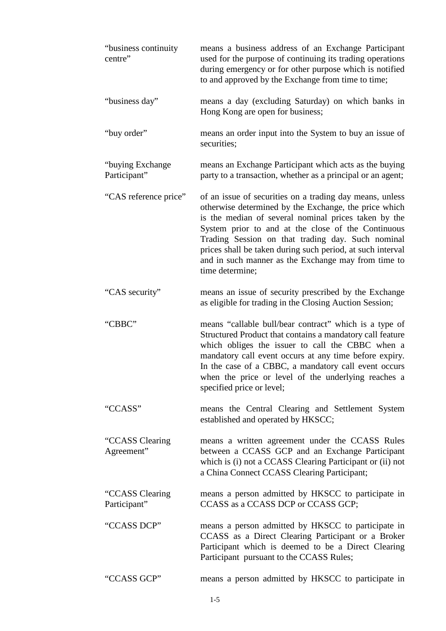| "business continuity<br>centre"  | means a business address of an Exchange Participant<br>used for the purpose of continuing its trading operations<br>during emergency or for other purpose which is notified<br>to and approved by the Exchange from time to time;                                                                                                                                                                                            |
|----------------------------------|------------------------------------------------------------------------------------------------------------------------------------------------------------------------------------------------------------------------------------------------------------------------------------------------------------------------------------------------------------------------------------------------------------------------------|
| "business day"                   | means a day (excluding Saturday) on which banks in<br>Hong Kong are open for business;                                                                                                                                                                                                                                                                                                                                       |
| "buy order"                      | means an order input into the System to buy an issue of<br>securities;                                                                                                                                                                                                                                                                                                                                                       |
| "buying Exchange<br>Participant" | means an Exchange Participant which acts as the buying<br>party to a transaction, whether as a principal or an agent;                                                                                                                                                                                                                                                                                                        |
| "CAS reference price"            | of an issue of securities on a trading day means, unless<br>otherwise determined by the Exchange, the price which<br>is the median of several nominal prices taken by the<br>System prior to and at the close of the Continuous<br>Trading Session on that trading day. Such nominal<br>prices shall be taken during such period, at such interval<br>and in such manner as the Exchange may from time to<br>time determine; |
| "CAS security"                   | means an issue of security prescribed by the Exchange<br>as eligible for trading in the Closing Auction Session;                                                                                                                                                                                                                                                                                                             |
| "CBBC"                           | means "callable bull/bear contract" which is a type of<br>Structured Product that contains a mandatory call feature<br>which obliges the issuer to call the CBBC when a<br>mandatory call event occurs at any time before expiry.<br>In the case of a CBBC, a mandatory call event occurs<br>when the price or level of the underlying reaches a<br>specified price or level;                                                |
| "CCASS"                          | means the Central Clearing and Settlement System<br>established and operated by HKSCC;                                                                                                                                                                                                                                                                                                                                       |
| "CCASS Clearing<br>Agreement"    | means a written agreement under the CCASS Rules<br>between a CCASS GCP and an Exchange Participant<br>which is (i) not a CCASS Clearing Participant or (ii) not<br>a China Connect CCASS Clearing Participant;                                                                                                                                                                                                               |
| "CCASS Clearing<br>Participant"  | means a person admitted by HKSCC to participate in<br>CCASS as a CCASS DCP or CCASS GCP;                                                                                                                                                                                                                                                                                                                                     |
| "CCASS DCP"                      | means a person admitted by HKSCC to participate in<br>CCASS as a Direct Clearing Participant or a Broker<br>Participant which is deemed to be a Direct Clearing<br>Participant pursuant to the CCASS Rules;                                                                                                                                                                                                                  |
| "CCASS GCP"                      | means a person admitted by HKSCC to participate in                                                                                                                                                                                                                                                                                                                                                                           |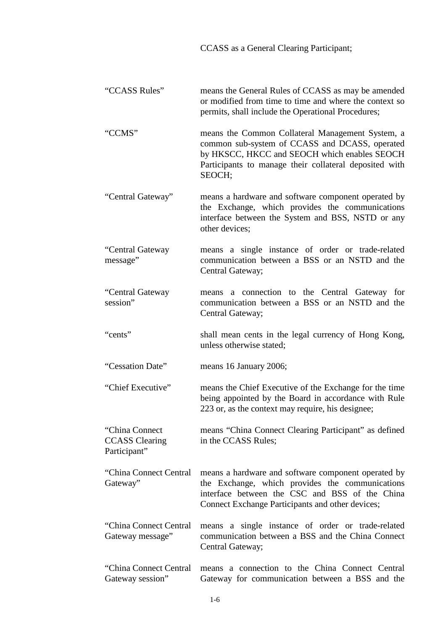| <b>CCASS</b> as a General Clearing Participant; |
|-------------------------------------------------|
|-------------------------------------------------|

| "CCASS Rules"                                            | means the General Rules of CCASS as may be amended<br>or modified from time to time and where the context so<br>permits, shall include the Operational Procedures;                                                     |
|----------------------------------------------------------|------------------------------------------------------------------------------------------------------------------------------------------------------------------------------------------------------------------------|
| "CCMS"                                                   | means the Common Collateral Management System, a<br>common sub-system of CCASS and DCASS, operated<br>by HKSCC, HKCC and SEOCH which enables SEOCH<br>Participants to manage their collateral deposited with<br>SEOCH; |
| "Central Gateway"                                        | means a hardware and software component operated by<br>the Exchange, which provides the communications<br>interface between the System and BSS, NSTD or any<br>other devices;                                          |
| "Central Gateway<br>message"                             | means a single instance of order or trade-related<br>communication between a BSS or an NSTD and the<br>Central Gateway;                                                                                                |
| "Central Gateway<br>session"                             | a connection to the Central Gateway<br>for<br>means<br>communication between a BSS or an NSTD and the<br>Central Gateway;                                                                                              |
| "cents"                                                  | shall mean cents in the legal currency of Hong Kong,<br>unless otherwise stated;                                                                                                                                       |
| "Cessation Date"                                         | means 16 January 2006;                                                                                                                                                                                                 |
| "Chief Executive"                                        | means the Chief Executive of the Exchange for the time<br>being appointed by the Board in accordance with Rule<br>223 or, as the context may require, his designee;                                                    |
| "China Connect"<br><b>CCASS</b> Clearing<br>Participant" | means "China Connect Clearing Participant" as defined<br>in the CCASS Rules;                                                                                                                                           |
| "China Connect Central<br>Gateway"                       | means a hardware and software component operated by<br>the Exchange, which provides the communications<br>interface between the CSC and BSS of the China<br>Connect Exchange Participants and other devices;           |
| "China Connect Central<br>Gateway message"               | means a single instance of order or trade-related<br>communication between a BSS and the China Connect<br>Central Gateway;                                                                                             |
| "China Connect Central"<br>Gateway session"              | means a connection to the China Connect Central<br>Gateway for communication between a BSS and the                                                                                                                     |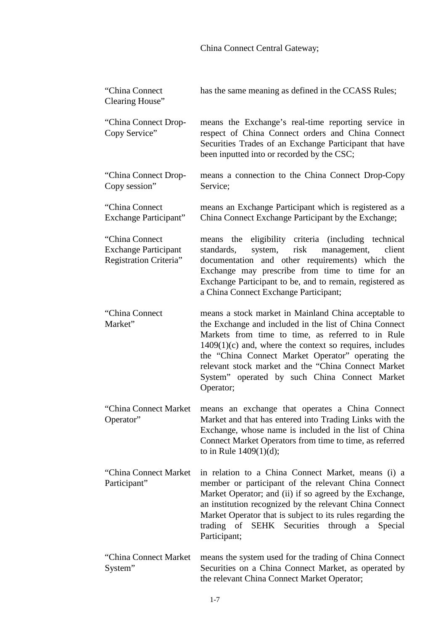# China Connect Central Gateway;

| "China Connect"<br>Clearing House"                                       | has the same meaning as defined in the CCASS Rules;                                                                                                                                                                                                                                                                                                                                                        |
|--------------------------------------------------------------------------|------------------------------------------------------------------------------------------------------------------------------------------------------------------------------------------------------------------------------------------------------------------------------------------------------------------------------------------------------------------------------------------------------------|
| "China Connect Drop-<br>Copy Service"                                    | means the Exchange's real-time reporting service in<br>respect of China Connect orders and China Connect<br>Securities Trades of an Exchange Participant that have<br>been inputted into or recorded by the CSC;                                                                                                                                                                                           |
| "China Connect Drop-<br>Copy session"                                    | means a connection to the China Connect Drop-Copy<br>Service;                                                                                                                                                                                                                                                                                                                                              |
| "China Connect"<br>Exchange Participant"                                 | means an Exchange Participant which is registered as a<br>China Connect Exchange Participant by the Exchange;                                                                                                                                                                                                                                                                                              |
| "China Connect"<br><b>Exchange Participant</b><br>Registration Criteria" | means the eligibility criteria (including technical<br>system,<br>risk<br>management,<br>client<br>standards,<br>documentation and other requirements) which the<br>Exchange may prescribe from time to time for an<br>Exchange Participant to be, and to remain, registered as<br>a China Connect Exchange Participant;                                                                                   |
| "China Connect<br>Market"                                                | means a stock market in Mainland China acceptable to<br>the Exchange and included in the list of China Connect<br>Markets from time to time, as referred to in Rule<br>$1409(1)(c)$ and, where the context so requires, includes<br>the "China Connect Market Operator" operating the<br>relevant stock market and the "China Connect Market<br>System" operated by such China Connect Market<br>Operator; |
| "China Connect Market"<br>Operator"                                      | means an exchange that operates a China Connect<br>Market and that has entered into Trading Links with the<br>Exchange, whose name is included in the list of China<br>Connect Market Operators from time to time, as referred<br>to in Rule $1409(1)(d)$ ;                                                                                                                                                |
| "China Connect Market"<br>Participant"                                   | in relation to a China Connect Market, means (i) a<br>member or participant of the relevant China Connect<br>Market Operator; and (ii) if so agreed by the Exchange,<br>an institution recognized by the relevant China Connect<br>Market Operator that is subject to its rules regarding the<br>trading of SEHK Securities through a<br>Special<br>Participant;                                           |
| "China Connect Market"<br>System"                                        | means the system used for the trading of China Connect<br>Securities on a China Connect Market, as operated by<br>the relevant China Connect Market Operator;                                                                                                                                                                                                                                              |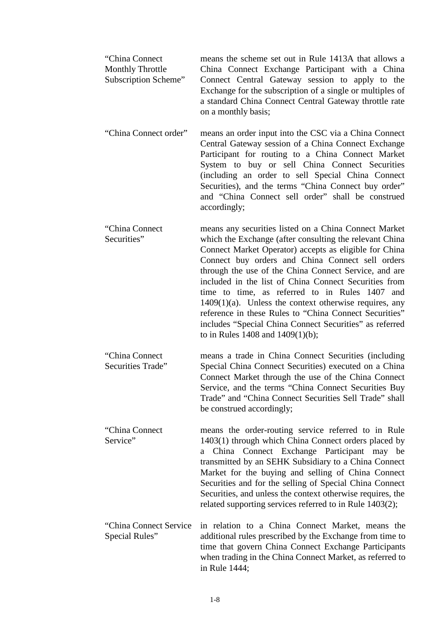| "China Connect"<br><b>Monthly Throttle</b><br>Subscription Scheme" | means the scheme set out in Rule 1413A that allows a<br>China Connect Exchange Participant with a China<br>Connect Central Gateway session to apply to the<br>Exchange for the subscription of a single or multiples of<br>a standard China Connect Central Gateway throttle rate<br>on a monthly basis;                                                                                                                                                                                                                                                                                                                    |
|--------------------------------------------------------------------|-----------------------------------------------------------------------------------------------------------------------------------------------------------------------------------------------------------------------------------------------------------------------------------------------------------------------------------------------------------------------------------------------------------------------------------------------------------------------------------------------------------------------------------------------------------------------------------------------------------------------------|
| "China Connect order"                                              | means an order input into the CSC via a China Connect<br>Central Gateway session of a China Connect Exchange<br>Participant for routing to a China Connect Market<br>System to buy or sell China Connect Securities<br>(including an order to sell Special China Connect<br>Securities), and the terms "China Connect buy order"<br>and "China Connect sell order" shall be construed<br>accordingly;                                                                                                                                                                                                                       |
| "China Connect"<br>Securities"                                     | means any securities listed on a China Connect Market<br>which the Exchange (after consulting the relevant China<br>Connect Market Operator) accepts as eligible for China<br>Connect buy orders and China Connect sell orders<br>through the use of the China Connect Service, and are<br>included in the list of China Connect Securities from<br>time to time, as referred to in Rules 1407 and<br>$1409(1)(a)$ . Unless the context otherwise requires, any<br>reference in these Rules to "China Connect Securities"<br>includes "Special China Connect Securities" as referred<br>to in Rules 1408 and $1409(1)(b)$ ; |
| "China Connect"<br><b>Securities Trade"</b>                        | means a trade in China Connect Securities (including<br>Special China Connect Securities) executed on a China<br>Connect Market through the use of the China Connect<br>Service, and the terms "China Connect Securities Buy<br>Trade" and "China Connect Securities Sell Trade" shall<br>be construed accordingly;                                                                                                                                                                                                                                                                                                         |
| "China Connect"<br>Service"                                        | means the order-routing service referred to in Rule<br>1403(1) through which China Connect orders placed by<br>Connect Exchange Participant may be<br>China<br>a<br>transmitted by an SEHK Subsidiary to a China Connect<br>Market for the buying and selling of China Connect<br>Securities and for the selling of Special China Connect<br>Securities, and unless the context otherwise requires, the<br>related supporting services referred to in Rule 1403(2);                                                                                                                                                         |
| "China Connect Service"<br>Special Rules"                          | in relation to a China Connect Market, means the<br>additional rules prescribed by the Exchange from time to<br>time that govern China Connect Exchange Participants<br>when trading in the China Connect Market, as referred to<br>in Rule 1444;                                                                                                                                                                                                                                                                                                                                                                           |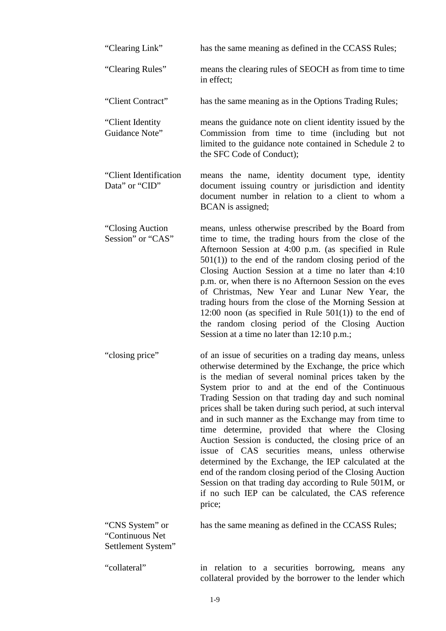| "Clearing Link"                                          | has the same meaning as defined in the CCASS Rules;                                                                                                                                                                                                                                                                                                                                                                                                                                                                                                                                                                                                                                                                                                                                                                      |
|----------------------------------------------------------|--------------------------------------------------------------------------------------------------------------------------------------------------------------------------------------------------------------------------------------------------------------------------------------------------------------------------------------------------------------------------------------------------------------------------------------------------------------------------------------------------------------------------------------------------------------------------------------------------------------------------------------------------------------------------------------------------------------------------------------------------------------------------------------------------------------------------|
| "Clearing Rules"                                         | means the clearing rules of SEOCH as from time to time<br>in effect:                                                                                                                                                                                                                                                                                                                                                                                                                                                                                                                                                                                                                                                                                                                                                     |
| "Client Contract"                                        | has the same meaning as in the Options Trading Rules;                                                                                                                                                                                                                                                                                                                                                                                                                                                                                                                                                                                                                                                                                                                                                                    |
| "Client Identity<br>Guidance Note"                       | means the guidance note on client identity issued by the<br>Commission from time to time (including but not<br>limited to the guidance note contained in Schedule 2 to<br>the SFC Code of Conduct);                                                                                                                                                                                                                                                                                                                                                                                                                                                                                                                                                                                                                      |
| "Client Identification"<br>Data" or "CID"                | means the name, identity document type, identity<br>document issuing country or jurisdiction and identity<br>document number in relation to a client to whom a<br>BCAN is assigned;                                                                                                                                                                                                                                                                                                                                                                                                                                                                                                                                                                                                                                      |
| "Closing Auction"<br>Session" or "CAS"                   | means, unless otherwise prescribed by the Board from<br>time to time, the trading hours from the close of the<br>Afternoon Session at 4:00 p.m. (as specified in Rule<br>$501(1)$ ) to the end of the random closing period of the<br>Closing Auction Session at a time no later than 4:10<br>p.m. or, when there is no Afternoon Session on the eves<br>of Christmas, New Year and Lunar New Year, the<br>trading hours from the close of the Morning Session at<br>12:00 noon (as specified in Rule $501(1)$ ) to the end of<br>the random closing period of the Closing Auction<br>Session at a time no later than 12:10 p.m.;                                                                                                                                                                                        |
| "closing price"                                          | of an issue of securities on a trading day means, unless<br>otherwise determined by the Exchange, the price which<br>is the median of several nominal prices taken by the<br>System prior to and at the end of the Continuous<br>Trading Session on that trading day and such nominal<br>prices shall be taken during such period, at such interval<br>and in such manner as the Exchange may from time to<br>time determine, provided that where the Closing<br>Auction Session is conducted, the closing price of an<br>issue of CAS securities means, unless otherwise<br>determined by the Exchange, the IEP calculated at the<br>end of the random closing period of the Closing Auction<br>Session on that trading day according to Rule 501M, or<br>if no such IEP can be calculated, the CAS reference<br>price; |
| "CNS System" or<br>"Continuous Net<br>Settlement System" | has the same meaning as defined in the CCASS Rules;                                                                                                                                                                                                                                                                                                                                                                                                                                                                                                                                                                                                                                                                                                                                                                      |
| "collateral"                                             | in relation to a securities borrowing, means<br>any<br>collateral provided by the borrower to the lender which                                                                                                                                                                                                                                                                                                                                                                                                                                                                                                                                                                                                                                                                                                           |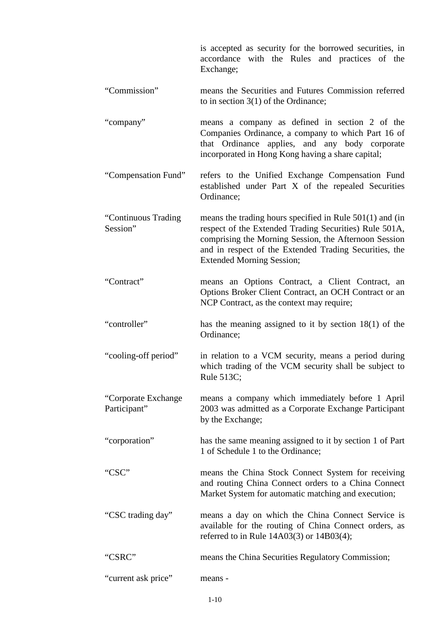|                                     | is accepted as security for the borrowed securities, in<br>accordance with the Rules and practices of the<br>Exchange;                                                                                                                                                      |
|-------------------------------------|-----------------------------------------------------------------------------------------------------------------------------------------------------------------------------------------------------------------------------------------------------------------------------|
| "Commission"                        | means the Securities and Futures Commission referred<br>to in section $3(1)$ of the Ordinance;                                                                                                                                                                              |
| "company"                           | means a company as defined in section 2 of the<br>Companies Ordinance, a company to which Part 16 of<br>that Ordinance applies, and any body corporate<br>incorporated in Hong Kong having a share capital;                                                                 |
| "Compensation Fund"                 | refers to the Unified Exchange Compensation Fund<br>established under Part X of the repealed Securities<br>Ordinance;                                                                                                                                                       |
| "Continuous Trading<br>Session"     | means the trading hours specified in Rule $501(1)$ and (in<br>respect of the Extended Trading Securities) Rule 501A,<br>comprising the Morning Session, the Afternoon Session<br>and in respect of the Extended Trading Securities, the<br><b>Extended Morning Session;</b> |
| "Contract"                          | means an Options Contract, a Client Contract, an<br>Options Broker Client Contract, an OCH Contract or an<br>NCP Contract, as the context may require;                                                                                                                      |
| "controller"                        | has the meaning assigned to it by section $18(1)$ of the<br>Ordinance;                                                                                                                                                                                                      |
| "cooling-off period"                | in relation to a VCM security, means a period during<br>which trading of the VCM security shall be subject to<br>Rule 513C;                                                                                                                                                 |
| "Corporate Exchange<br>Participant" | means a company which immediately before 1 April<br>2003 was admitted as a Corporate Exchange Participant<br>by the Exchange;                                                                                                                                               |
| "corporation"                       | has the same meaning assigned to it by section 1 of Part<br>1 of Schedule 1 to the Ordinance;                                                                                                                                                                               |
| "CSC"                               | means the China Stock Connect System for receiving<br>and routing China Connect orders to a China Connect<br>Market System for automatic matching and execution;                                                                                                            |
| "CSC trading day"                   | means a day on which the China Connect Service is<br>available for the routing of China Connect orders, as<br>referred to in Rule $14A03(3)$ or $14B03(4)$ ;                                                                                                                |
| "CSRC"                              | means the China Securities Regulatory Commission;                                                                                                                                                                                                                           |
| "current ask price"                 | means -                                                                                                                                                                                                                                                                     |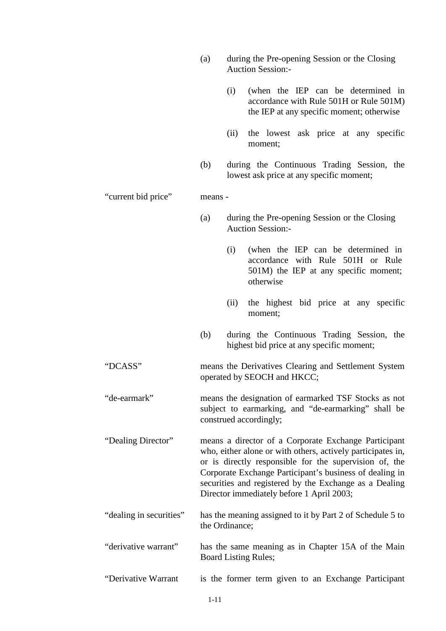Auction Session:- (i) (when the IEP can be determined in accordance with Rule 501H or Rule 501M) the IEP at any specific moment; otherwise (ii) the lowest ask price at any specific moment; (b) during the Continuous Trading Session, the lowest ask price at any specific moment; "current bid price" means - (a) during the Pre-opening Session or the Closing Auction Session:- (i) (when the IEP can be determined in accordance with Rule 501H or Rule 501M) the IEP at any specific moment; otherwise (ii) the highest bid price at any specific moment; (b) during the Continuous Trading Session, the highest bid price at any specific moment; "DCASS" means the Derivatives Clearing and Settlement System operated by SEOCH and HKCC; "de-earmark" means the designation of earmarked TSF Stocks as not subject to earmarking, and "de-earmarking" shall be construed accordingly; "Dealing Director" means a director of a Corporate Exchange Participant who, either alone or with others, actively participates in, or is directly responsible for the supervision of, the Corporate Exchange Participant's business of dealing in securities and registered by the Exchange as a Dealing Director immediately before 1 April 2003; "dealing in securities" has the meaning assigned to it by Part 2 of Schedule 5 to the Ordinance; "derivative warrant" has the same meaning as in Chapter 15A of the Main Board Listing Rules; "Derivative Warrant is the former term given to an Exchange Participant

(a) during the Pre-opening Session or the Closing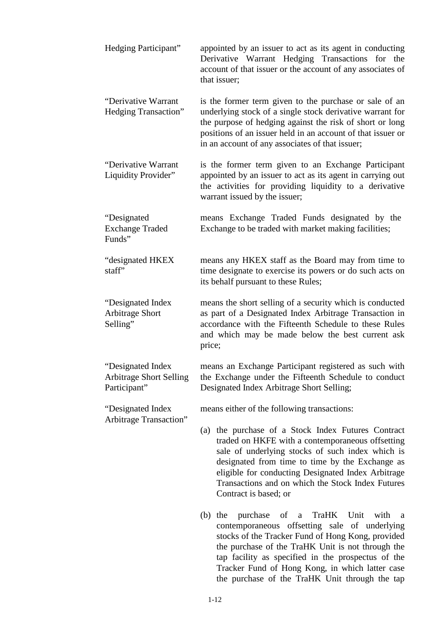| Hedging Participant"                                                 | appointed by an issuer to act as its agent in conducting<br>Derivative Warrant Hedging Transactions for the<br>account of that issuer or the account of any associates of<br>that issuer;                                                                                                                                                         |
|----------------------------------------------------------------------|---------------------------------------------------------------------------------------------------------------------------------------------------------------------------------------------------------------------------------------------------------------------------------------------------------------------------------------------------|
| "Derivative Warrant<br>Hedging Transaction"                          | is the former term given to the purchase or sale of an<br>underlying stock of a single stock derivative warrant for<br>the purpose of hedging against the risk of short or long<br>positions of an issuer held in an account of that issuer or<br>in an account of any associates of that issuer;                                                 |
| "Derivative Warrant<br>Liquidity Provider"                           | is the former term given to an Exchange Participant<br>appointed by an issuer to act as its agent in carrying out<br>the activities for providing liquidity to a derivative<br>warrant issued by the issuer;                                                                                                                                      |
| "Designated"<br><b>Exchange Traded</b><br>Funds"                     | means Exchange Traded Funds designated by the<br>Exchange to be traded with market making facilities;                                                                                                                                                                                                                                             |
| "designated HKEX<br>staff"                                           | means any HKEX staff as the Board may from time to<br>time designate to exercise its powers or do such acts on<br>its behalf pursuant to these Rules;                                                                                                                                                                                             |
| "Designated Index<br><b>Arbitrage Short</b><br>Selling"              | means the short selling of a security which is conducted<br>as part of a Designated Index Arbitrage Transaction in<br>accordance with the Fifteenth Schedule to these Rules<br>and which may be made below the best current ask<br>price;                                                                                                         |
| "Designated Index"<br><b>Arbitrage Short Selling</b><br>Participant" | means an Exchange Participant registered as such with<br>the Exchange under the Fifteenth Schedule to conduct<br>Designated Index Arbitrage Short Selling;                                                                                                                                                                                        |
| "Designated Index"<br>Arbitrage Transaction"                         | means either of the following transactions:                                                                                                                                                                                                                                                                                                       |
|                                                                      | (a) the purchase of a Stock Index Futures Contract<br>traded on HKFE with a contemporaneous offsetting<br>sale of underlying stocks of such index which is<br>designated from time to time by the Exchange as<br>eligible for conducting Designated Index Arbitrage<br>Transactions and on which the Stock Index Futures<br>Contract is based; or |
|                                                                      | $(b)$ the<br>purchase of a<br>TraHK Unit with<br>a<br>contemporaneous offsetting sale of underlying<br>stocks of the Tracker Fund of Hong Kong, provided<br>the purchase of the TraHK Unit is not through the                                                                                                                                     |

tap facility as specified in the prospectus of the Tracker Fund of Hong Kong, in which latter case the purchase of the TraHK Unit through the tap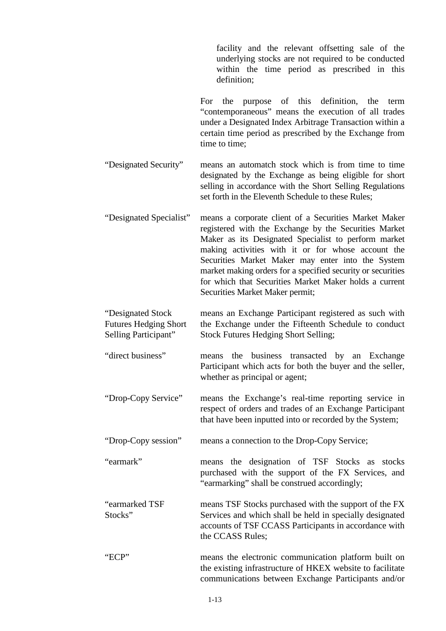facility and the relevant offsetting sale of the underlying stocks are not required to be conducted within the time period as prescribed in this definition;

For the purpose of this definition, the term "contemporaneous" means the execution of all trades under a Designated Index Arbitrage Transaction within a certain time period as prescribed by the Exchange from time to time;

"Designated Security" means an automatch stock which is from time to time designated by the Exchange as being eligible for short selling in accordance with the Short Selling Regulations set forth in the Eleventh Schedule to these Rules;

- "Designated Specialist" means a corporate client of a Securities Market Maker registered with the Exchange by the Securities Market Maker as its Designated Specialist to perform market making activities with it or for whose account the Securities Market Maker may enter into the System market making orders for a specified security or securities for which that Securities Market Maker holds a current Securities Market Maker permit;
- "Designated Stock Futures Hedging Short Selling Participant" means an Exchange Participant registered as such with the Exchange under the Fifteenth Schedule to conduct Stock Futures Hedging Short Selling;
- "direct business" means the business transacted by an Exchange Participant which acts for both the buyer and the seller, whether as principal or agent;
- "Drop-Copy Service" means the Exchange's real-time reporting service in respect of orders and trades of an Exchange Participant that have been inputted into or recorded by the System;
- "Drop-Copy session" means a connection to the Drop-Copy Service;

"earmark" means the designation of TSF Stocks as stocks purchased with the support of the FX Services, and "earmarking" shall be construed accordingly;

"earmarked TSF Stocks" means TSF Stocks purchased with the support of the FX Services and which shall be held in specially designated accounts of TSF CCASS Participants in accordance with the CCASS Rules;

"ECP" means the electronic communication platform built on the existing infrastructure of HKEX website to facilitate communications between Exchange Participants and/or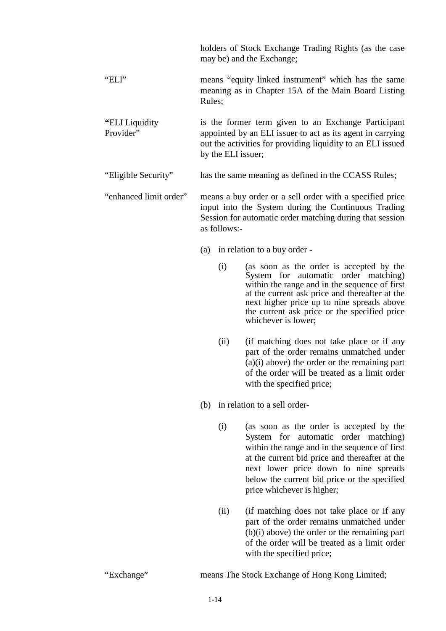|                              | holders of Stock Exchange Trading Rights (as the case<br>may be) and the Exchange;                                                                                                                     |
|------------------------------|--------------------------------------------------------------------------------------------------------------------------------------------------------------------------------------------------------|
| "ELI"                        | means "equity linked instrument" which has the same<br>meaning as in Chapter 15A of the Main Board Listing<br>Rules;                                                                                   |
| "ELI Liquidity"<br>Provider" | is the former term given to an Exchange Participant<br>appointed by an ELI issuer to act as its agent in carrying<br>out the activities for providing liquidity to an ELI issued<br>by the ELI issuer; |
| "Eligible Security"          | has the same meaning as defined in the CCASS Rules;                                                                                                                                                    |
| "enhanced limit order"       | means a buy order or a sell order with a specified price<br>input into the System during the Continuous Trading<br>Session for automatic order matching during that session<br>as follows:-            |
|                              | (a) in relation to a buy order -                                                                                                                                                                       |
|                              | (as soon as the order is accepted by the<br>(i)<br>$Srotation$ for outomotic order motobing)                                                                                                           |

- System for automatic order matching) within the range and in the sequence of first at the current ask price and thereafter at the next higher price up to nine spreads above the current ask price or the specified price whichever is lower;
- (ii) (if matching does not take place or if any part of the order remains unmatched under (a)(i) above) the order or the remaining part of the order will be treated as a limit order with the specified price;
- (b) in relation to a sell order-
	- (i) (as soon as the order is accepted by the System for automatic order matching) within the range and in the sequence of first at the current bid price and thereafter at the next lower price down to nine spreads below the current bid price or the specified price whichever is higher;
	- (ii) (if matching does not take place or if any part of the order remains unmatched under (b)(i) above) the order or the remaining part of the order will be treated as a limit order with the specified price;

"Exchange" means The Stock Exchange of Hong Kong Limited;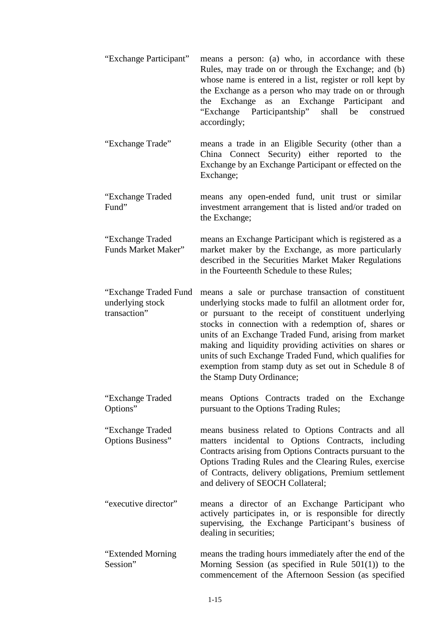- "Exchange Participant" means a person: (a) who, in accordance with these Rules, may trade on or through the Exchange; and (b) whose name is entered in a list, register or roll kept by the Exchange as a person who may trade on or through the Exchange as an Exchange Participant and "Exchange Participantship" shall be construed accordingly; "Exchange Trade" means a trade in an Eligible Security (other than a China Connect Security) either reported to the Exchange by an Exchange Participant or effected on the
- "Exchange Traded Fund" means any open-ended fund, unit trust or similar investment arrangement that is listed and/or traded on the Exchange;

Exchange;

"Exchange Traded Funds Market Maker" means an Exchange Participant which is registered as a market maker by the Exchange, as more particularly described in the Securities Market Maker Regulations in the Fourteenth Schedule to these Rules;

- "Exchange Traded Fund underlying stock transaction" means a sale or purchase transaction of constituent underlying stocks made to fulfil an allotment order for, or pursuant to the receipt of constituent underlying stocks in connection with a redemption of, shares or units of an Exchange Traded Fund, arising from market making and liquidity providing activities on shares or units of such Exchange Traded Fund, which qualifies for exemption from stamp duty as set out in Schedule 8 of the Stamp Duty Ordinance;
- "Exchange Traded Options" means Options Contracts traded on the Exchange pursuant to the Options Trading Rules;

"Exchange Traded Options Business" means business related to Options Contracts and all matters incidental to Options Contracts, including Contracts arising from Options Contracts pursuant to the Options Trading Rules and the Clearing Rules, exercise of Contracts, delivery obligations, Premium settlement and delivery of SEOCH Collateral;

"executive director" means a director of an Exchange Participant who actively participates in, or is responsible for directly supervising, the Exchange Participant's business of dealing in securities;

"Extended Morning Session" means the trading hours immediately after the end of the Morning Session (as specified in Rule 501(1)) to the commencement of the Afternoon Session (as specified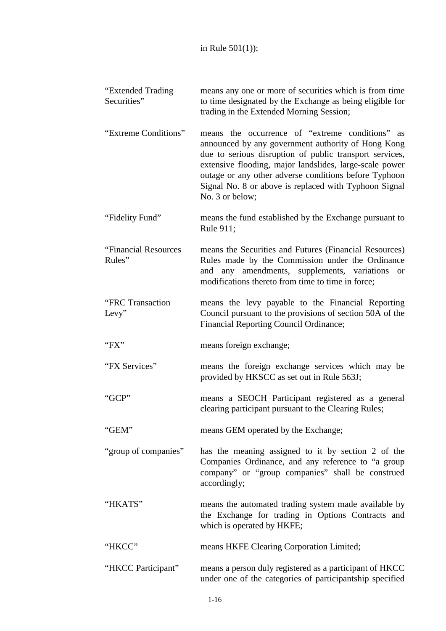| "Extended Trading<br>Securities" | means any one or more of securities which is from time<br>to time designated by the Exchange as being eligible for<br>trading in the Extended Morning Session;                                                                                                                                                                                                   |
|----------------------------------|------------------------------------------------------------------------------------------------------------------------------------------------------------------------------------------------------------------------------------------------------------------------------------------------------------------------------------------------------------------|
| "Extreme Conditions"             | means the occurrence of "extreme conditions" as<br>announced by any government authority of Hong Kong<br>due to serious disruption of public transport services,<br>extensive flooding, major landslides, large-scale power<br>outage or any other adverse conditions before Typhoon<br>Signal No. 8 or above is replaced with Typhoon Signal<br>No. 3 or below; |
| "Fidelity Fund"                  | means the fund established by the Exchange pursuant to<br>Rule 911;                                                                                                                                                                                                                                                                                              |
| "Financial Resources<br>Rules"   | means the Securities and Futures (Financial Resources)<br>Rules made by the Commission under the Ordinance<br>and any amendments, supplements, variations<br><b>or</b><br>modifications thereto from time to time in force;                                                                                                                                      |
| "FRC Transaction<br>Levy"        | means the levy payable to the Financial Reporting<br>Council pursuant to the provisions of section 50A of the<br>Financial Reporting Council Ordinance;                                                                                                                                                                                                          |
| " $FX"$                          | means foreign exchange;                                                                                                                                                                                                                                                                                                                                          |
| "FX Services"                    | means the foreign exchange services which may be<br>provided by HKSCC as set out in Rule 563J;                                                                                                                                                                                                                                                                   |
| "GCP"                            | means a SEOCH Participant registered as a general<br>clearing participant pursuant to the Clearing Rules;                                                                                                                                                                                                                                                        |
| "GEM"                            | means GEM operated by the Exchange;                                                                                                                                                                                                                                                                                                                              |
| "group of companies"             | has the meaning assigned to it by section 2 of the<br>Companies Ordinance, and any reference to "a group<br>company" or "group companies" shall be construed<br>accordingly;                                                                                                                                                                                     |
| "HKATS"                          | means the automated trading system made available by<br>the Exchange for trading in Options Contracts and<br>which is operated by HKFE;                                                                                                                                                                                                                          |
| "HKCC"                           | means HKFE Clearing Corporation Limited;                                                                                                                                                                                                                                                                                                                         |
| "HKCC Participant"               | means a person duly registered as a participant of HKCC<br>under one of the categories of participantship specified                                                                                                                                                                                                                                              |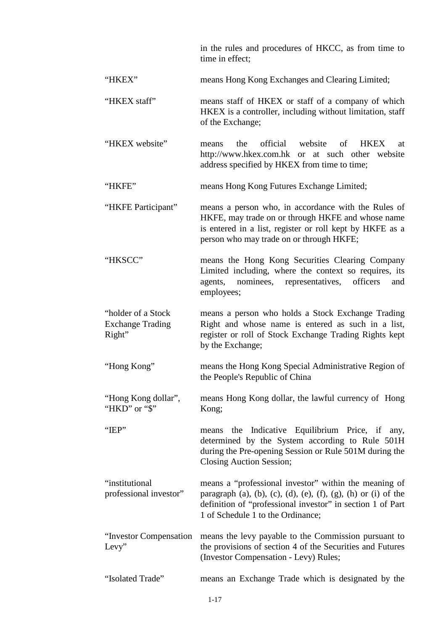in the rules and procedures of HKCC, as from time to time in effect;

- "HKEX" means Hong Kong Exchanges and Clearing Limited;
- "HKEX staff" means staff of HKEX or staff of a company of which HKEX is a controller, including without limitation, staff of the Exchange;
- "HKEX website" means the official website of HKEX at [http://www.hkex.com.hk](http://www.hkex.com.hk/) or at such other website address specified by HKEX from time to time;
- "HKFE" means Hong Kong Futures Exchange Limited;
- "HKFE Participant" means a person who, in accordance with the Rules of HKFE, may trade on or through HKFE and whose name is entered in a list, register or roll kept by HKFE as a person who may trade on or through HKFE;
- "HKSCC" means the Hong Kong Securities Clearing Company Limited including, where the context so requires, its agents, nominees, representatives, officers and employees;
- "holder of a Stock Exchange Trading Right" means a person who holds a Stock Exchange Trading Right and whose name is entered as such in a list, register or roll of Stock Exchange Trading Rights kept by the Exchange;
- "Hong Kong" means the Hong Kong Special Administrative Region of the People's Republic of China
- "Hong Kong dollar", "HKD" or "\$" means Hong Kong dollar, the lawful currency of Hong Kong;
- "IEP" means the Indicative Equilibrium Price, if any, determined by the System according to Rule 501H during the Pre-opening Session or Rule 501M during the Closing Auction Session;
- "institutional professional investor" means a "professional investor" within the meaning of paragraph (a), (b), (c), (d), (e), (f), (g), (h) or (i) of the definition of "professional investor" in section 1 of Part 1 of Schedule 1 to the Ordinance;
- "Investor Compensation Levy" means the levy payable to the Commission pursuant to the provisions of section 4 of the Securities and Futures (Investor Compensation - Levy) Rules;
- "Isolated Trade" means an Exchange Trade which is designated by the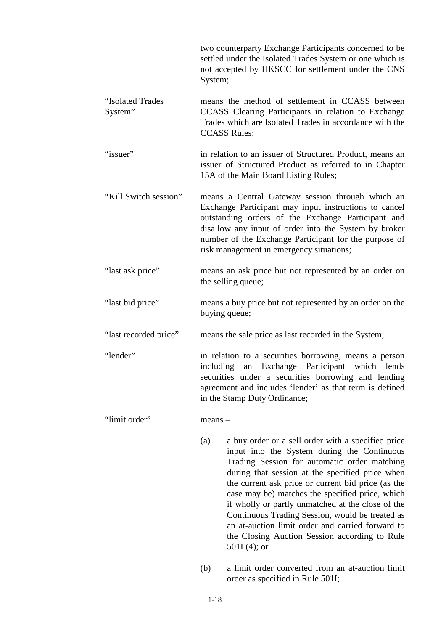|                             | two counterparty Exchange Participants concerned to be<br>settled under the Isolated Trades System or one which is<br>not accepted by HKSCC for settlement under the CNS<br>System;                                                                                                                                           |  |
|-----------------------------|-------------------------------------------------------------------------------------------------------------------------------------------------------------------------------------------------------------------------------------------------------------------------------------------------------------------------------|--|
| "Isolated Trades<br>System" | means the method of settlement in CCASS between<br>CCASS Clearing Participants in relation to Exchange<br>Trades which are Isolated Trades in accordance with the<br><b>CCASS Rules;</b>                                                                                                                                      |  |
| "issuer"                    | in relation to an issuer of Structured Product, means an<br>issuer of Structured Product as referred to in Chapter<br>15A of the Main Board Listing Rules;                                                                                                                                                                    |  |
| "Kill Switch session"       | means a Central Gateway session through which an<br>Exchange Participant may input instructions to cancel<br>outstanding orders of the Exchange Participant and<br>disallow any input of order into the System by broker<br>number of the Exchange Participant for the purpose of<br>risk management in emergency situations; |  |
| "last ask price"            | means an ask price but not represented by an order on<br>the selling queue;                                                                                                                                                                                                                                                   |  |
| "last bid price"            | means a buy price but not represented by an order on the<br>buying queue;                                                                                                                                                                                                                                                     |  |
| "last recorded price"       | means the sale price as last recorded in the System;                                                                                                                                                                                                                                                                          |  |
| "lender"                    | in relation to a securities borrowing, means a person<br>including an Exchange Participant which lends<br>securities under a securities borrowing and lending<br>agreement and includes 'lender' as that term is defined<br>in the Stamp Duty Ordinance;                                                                      |  |
| "limit order"               | $means -$                                                                                                                                                                                                                                                                                                                     |  |
|                             | (a)<br>a buy order or a sell order with a specified price<br>input into the System during the Continuous<br>Trading Session for automatic order matching<br>during that session at the specified price when                                                                                                                   |  |

(b) a limit order converted from an at-auction limit order as specified in Rule 501I;

the current ask price or current bid price (as the case may be) matches the specified price, which if wholly or partly unmatched at the close of the Continuous Trading Session, would be treated as an at-auction limit order and carried forward to the Closing Auction Session according to Rule

501L(4); or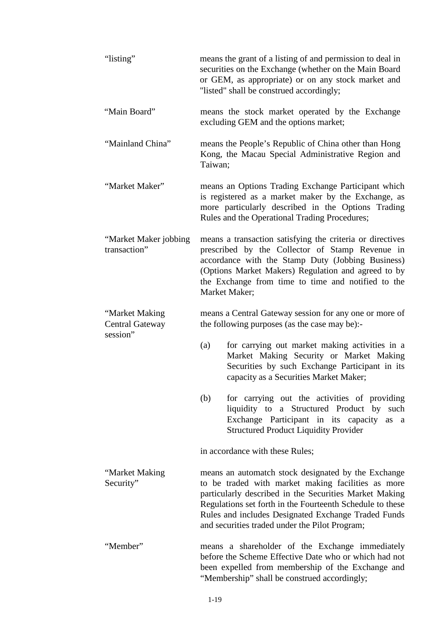| "listing"                                            | means the grant of a listing of and permission to deal in<br>securities on the Exchange (whether on the Main Board<br>or GEM, as appropriate) or on any stock market and<br>"listed" shall be construed accordingly;                                                                                                                      |
|------------------------------------------------------|-------------------------------------------------------------------------------------------------------------------------------------------------------------------------------------------------------------------------------------------------------------------------------------------------------------------------------------------|
| "Main Board"                                         | means the stock market operated by the Exchange<br>excluding GEM and the options market;                                                                                                                                                                                                                                                  |
| "Mainland China"                                     | means the People's Republic of China other than Hong<br>Kong, the Macau Special Administrative Region and<br>Taiwan;                                                                                                                                                                                                                      |
| "Market Maker"                                       | means an Options Trading Exchange Participant which<br>is registered as a market maker by the Exchange, as<br>more particularly described in the Options Trading<br>Rules and the Operational Trading Procedures;                                                                                                                         |
| "Market Maker jobbing<br>transaction"                | means a transaction satisfying the criteria or directives<br>prescribed by the Collector of Stamp Revenue in<br>accordance with the Stamp Duty (Jobbing Business)<br>(Options Market Makers) Regulation and agreed to by<br>the Exchange from time to time and notified to the<br>Market Maker;                                           |
| "Market Making<br><b>Central Gateway</b><br>session" | means a Central Gateway session for any one or more of<br>the following purposes (as the case may be):-<br>for carrying out market making activities in a<br>(a)<br>Market Making Security or Market Making<br>Securities by such Exchange Participant in its<br>capacity as a Securities Market Maker;                                   |
|                                                      | (b)<br>for carrying out the activities of providing<br>liquidity to a Structured Product by such<br>Exchange Participant in its capacity<br>as a<br><b>Structured Product Liquidity Provider</b>                                                                                                                                          |
|                                                      | in accordance with these Rules;                                                                                                                                                                                                                                                                                                           |
| "Market Making<br>Security"                          | means an automatch stock designated by the Exchange<br>to be traded with market making facilities as more<br>particularly described in the Securities Market Making<br>Regulations set forth in the Fourteenth Schedule to these<br>Rules and includes Designated Exchange Traded Funds<br>and securities traded under the Pilot Program; |
| "Member"                                             | means a shareholder of the Exchange immediately<br>before the Scheme Effective Date who or which had not<br>been expelled from membership of the Exchange and<br>"Membership" shall be construed accordingly;                                                                                                                             |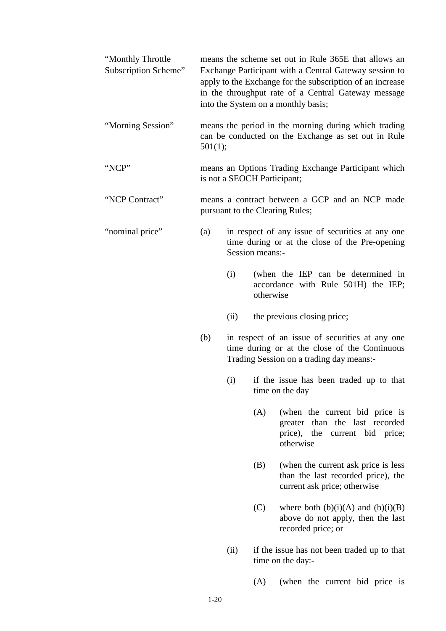| "Monthly Throttle<br>Subscription Scheme" |         |      | means the scheme set out in Rule 365E that allows an<br>Exchange Participant with a Central Gateway session to<br>apply to the Exchange for the subscription of an increase<br>in the throughput rate of a Central Gateway message<br>into the System on a monthly basis; |
|-------------------------------------------|---------|------|---------------------------------------------------------------------------------------------------------------------------------------------------------------------------------------------------------------------------------------------------------------------------|
| "Morning Session"                         | 501(1); |      | means the period in the morning during which trading<br>can be conducted on the Exchange as set out in Rule                                                                                                                                                               |
| "NCP"                                     |         |      | means an Options Trading Exchange Participant which<br>is not a SEOCH Participant;                                                                                                                                                                                        |
| "NCP Contract"                            |         |      | means a contract between a GCP and an NCP made<br>pursuant to the Clearing Rules;                                                                                                                                                                                         |
| "nominal price"                           | (a)     |      | in respect of any issue of securities at any one<br>time during or at the close of the Pre-opening<br>Session means:-                                                                                                                                                     |
|                                           |         | (i)  | (when the IEP can be determined in<br>accordance with Rule 501H) the IEP;<br>otherwise                                                                                                                                                                                    |
|                                           |         | (ii) | the previous closing price;                                                                                                                                                                                                                                               |
|                                           | (b)     |      | in respect of an issue of securities at any one<br>time during or at the close of the Continuous                                                                                                                                                                          |

(i) if the issue has been traded up to that time on the day

Trading Session on a trading day means:-

- (A) (when the current bid price is greater than the last recorded price), the current bid price; otherwise
- (B) (when the current ask price is less than the last recorded price), the current ask price; otherwise
- (C) where both  $(b)(i)(A)$  and  $(b)(i)(B)$ above do not apply, then the last recorded price; or
- (ii) if the issue has not been traded up to that time on the day:-
	- (A) (when the current bid price is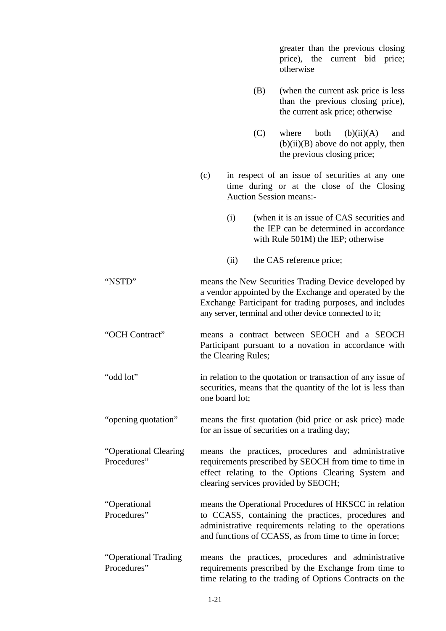greater than the previous closing price), the current bid price; otherwise (B) (when the current ask price is less than the previous closing price), the current ask price; otherwise  $(C)$  where both  $(b)(ii)(A)$  and  $(b)(ii)(B)$  above do not apply, then the previous closing price; (c) in respect of an issue of securities at any one time during or at the close of the Closing Auction Session means:- (i) (when it is an issue of CAS securities and the IEP can be determined in accordance with Rule 501M) the IEP; otherwise (ii) the CAS reference price; "NSTD" means the New Securities Trading Device developed by a vendor appointed by the Exchange and operated by the Exchange Participant for trading purposes, and includes any server, terminal and other device connected to it; "OCH Contract" means a contract between SEOCH and a SEOCH Participant pursuant to a novation in accordance with the Clearing Rules; "odd lot" in relation to the quotation or transaction of any issue of securities, means that the quantity of the lot is less than one board lot; "opening quotation" means the first quotation (bid price or ask price) made for an issue of securities on a trading day; "Operational Clearing Procedures" means the practices, procedures and administrative requirements prescribed by SEOCH from time to time in effect relating to the Options Clearing System and clearing services provided by SEOCH; "Operational Procedures" means the Operational Procedures of HKSCC in relation to CCASS, containing the practices, procedures and administrative requirements relating to the operations and functions of CCASS, as from time to time in force; "Operational Trading Procedures" means the practices, procedures and administrative requirements prescribed by the Exchange from time to time relating to the trading of Options Contracts on the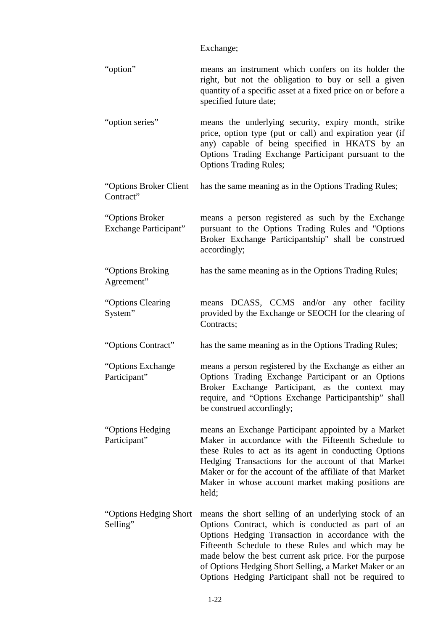Exchange;

| "option"                                         | means an instrument which confers on its holder the<br>right, but not the obligation to buy or sell a given<br>quantity of a specific asset at a fixed price on or before a<br>specified future date;                                                                                                                                                                                              |
|--------------------------------------------------|----------------------------------------------------------------------------------------------------------------------------------------------------------------------------------------------------------------------------------------------------------------------------------------------------------------------------------------------------------------------------------------------------|
| "option series"                                  | means the underlying security, expiry month, strike<br>price, option type (put or call) and expiration year (if<br>any) capable of being specified in HKATS by an<br>Options Trading Exchange Participant pursuant to the<br><b>Options Trading Rules;</b>                                                                                                                                         |
| "Options Broker Client"<br>Contract"             | has the same meaning as in the Options Trading Rules;                                                                                                                                                                                                                                                                                                                                              |
| "Options Broker"<br><b>Exchange Participant"</b> | means a person registered as such by the Exchange<br>pursuant to the Options Trading Rules and "Options"<br>Broker Exchange Participantship" shall be construed<br>accordingly;                                                                                                                                                                                                                    |
| "Options Broking<br>Agreement"                   | has the same meaning as in the Options Trading Rules;                                                                                                                                                                                                                                                                                                                                              |
| "Options Clearing<br>System"                     | means DCASS, CCMS and/or any other facility<br>provided by the Exchange or SEOCH for the clearing of<br>Contracts;                                                                                                                                                                                                                                                                                 |
| "Options Contract"                               | has the same meaning as in the Options Trading Rules;                                                                                                                                                                                                                                                                                                                                              |
| "Options Exchange<br>Participant"                | means a person registered by the Exchange as either an<br>Options Trading Exchange Participant or an Options<br>Broker Exchange Participant, as the context may<br>require, and "Options Exchange Participantship" shall<br>be construed accordingly;                                                                                                                                              |
| "Options Hedging<br>Participant"                 | means an Exchange Participant appointed by a Market<br>Maker in accordance with the Fifteenth Schedule to<br>these Rules to act as its agent in conducting Options<br>Hedging Transactions for the account of that Market<br>Maker or for the account of the affiliate of that Market<br>Maker in whose account market making positions are<br>held;                                               |
| "Options Hedging Short"<br>Selling"              | means the short selling of an underlying stock of an<br>Options Contract, which is conducted as part of an<br>Options Hedging Transaction in accordance with the<br>Fifteenth Schedule to these Rules and which may be<br>made below the best current ask price. For the purpose<br>of Options Hedging Short Selling, a Market Maker or an<br>Options Hedging Participant shall not be required to |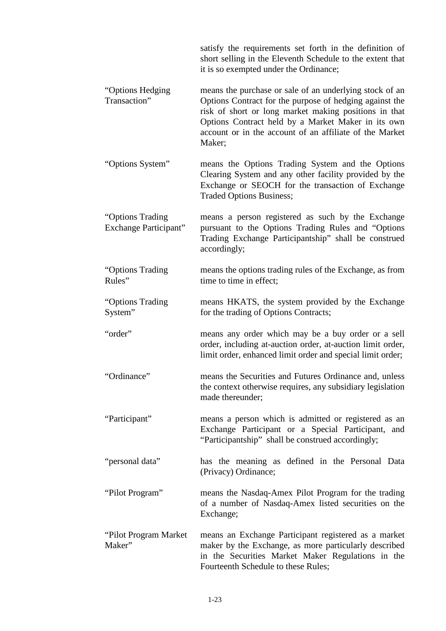satisfy the requirements set forth in the definition of short selling in the Eleventh Schedule to the extent that it is so exempted under the Ordinance; "Options Hedging Transaction" means the purchase or sale of an underlying stock of an Options Contract for the purpose of hedging against the risk of short or long market making positions in that Options Contract held by a Market Maker in its own account or in the account of an affiliate of the Market Maker; "Options System" means the Options Trading System and the Options Clearing System and any other facility provided by the Exchange or SEOCH for the transaction of Exchange Traded Options Business; "Options Trading Exchange Participant" means a person registered as such by the Exchange pursuant to the Options Trading Rules and "Options Trading Exchange Participantship" shall be construed accordingly; "Options Trading Rules" means the options trading rules of the Exchange, as from time to time in effect; "Options Trading System" means HKATS, the system provided by the Exchange for the trading of Options Contracts; "order" means any order which may be a buy order or a sell order, including at-auction order, at-auction limit order, limit order, enhanced limit order and special limit order; "Ordinance" means the Securities and Futures Ordinance and, unless the context otherwise requires, any subsidiary legislation made thereunder; "Participant" means a person which is admitted or registered as an Exchange Participant or a Special Participant, and "Participantship" shall be construed accordingly; "personal data" has the meaning as defined in the Personal Data (Privacy) Ordinance; "Pilot Program" means the Nasdaq-Amex Pilot Program for the trading of a number of Nasdaq-Amex listed securities on the Exchange; "Pilot Program Market Maker" means an Exchange Participant registered as a market maker by the Exchange, as more particularly described in the Securities Market Maker Regulations in the Fourteenth Schedule to these Rules;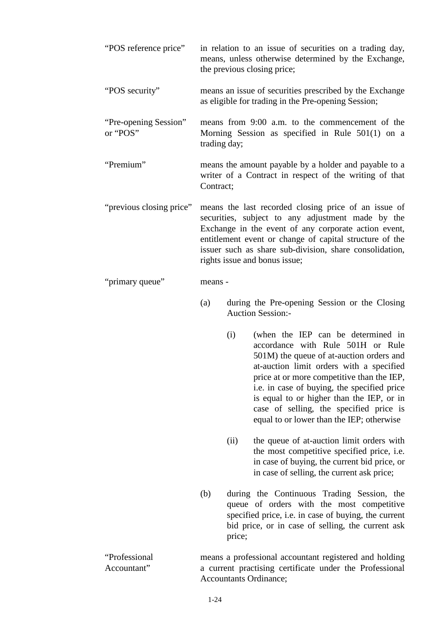| "POS reference price"             |              |        | in relation to an issue of securities on a trading day,<br>means, unless otherwise determined by the Exchange,<br>the previous closing price;                                                                                                                                                                                                                                                     |
|-----------------------------------|--------------|--------|---------------------------------------------------------------------------------------------------------------------------------------------------------------------------------------------------------------------------------------------------------------------------------------------------------------------------------------------------------------------------------------------------|
| "POS security"                    |              |        | means an issue of securities prescribed by the Exchange<br>as eligible for trading in the Pre-opening Session;                                                                                                                                                                                                                                                                                    |
| "Pre-opening Session"<br>or "POS" | trading day; |        | means from 9:00 a.m. to the commencement of the<br>Morning Session as specified in Rule 501(1) on a                                                                                                                                                                                                                                                                                               |
| "Premium"                         | Contract;    |        | means the amount payable by a holder and payable to a<br>writer of a Contract in respect of the writing of that                                                                                                                                                                                                                                                                                   |
| "previous closing price"          |              |        | means the last recorded closing price of an issue of<br>securities, subject to any adjustment made by the<br>Exchange in the event of any corporate action event,<br>entitlement event or change of capital structure of the<br>issuer such as share sub-division, share consolidation,<br>rights issue and bonus issue;                                                                          |
| "primary queue"                   | means -      |        |                                                                                                                                                                                                                                                                                                                                                                                                   |
|                                   | (a)          |        | during the Pre-opening Session or the Closing<br><b>Auction Session:-</b>                                                                                                                                                                                                                                                                                                                         |
|                                   |              | (i)    | (when the IEP can be determined in<br>accordance with Rule 501H or Rule<br>501M) the queue of at-auction orders and<br>at-auction limit orders with a specified<br>price at or more competitive than the IEP,<br>i.e. in case of buying, the specified price<br>is equal to or higher than the IEP, or in<br>case of selling, the specified price is<br>equal to or lower than the IEP; otherwise |
|                                   |              | (ii)   | the queue of at-auction limit orders with<br>the most competitive specified price, <i>i.e.</i><br>in case of buying, the current bid price, or<br>in case of selling, the current ask price;                                                                                                                                                                                                      |
|                                   | (b)          | price; | during the Continuous Trading Session, the<br>queue of orders with the most competitive<br>specified price, i.e. in case of buying, the current<br>bid price, or in case of selling, the current ask                                                                                                                                                                                              |
| "Professional<br>Accountant"      |              |        | means a professional accountant registered and holding<br>a current practising certificate under the Professional<br>Accountants Ordinance;                                                                                                                                                                                                                                                       |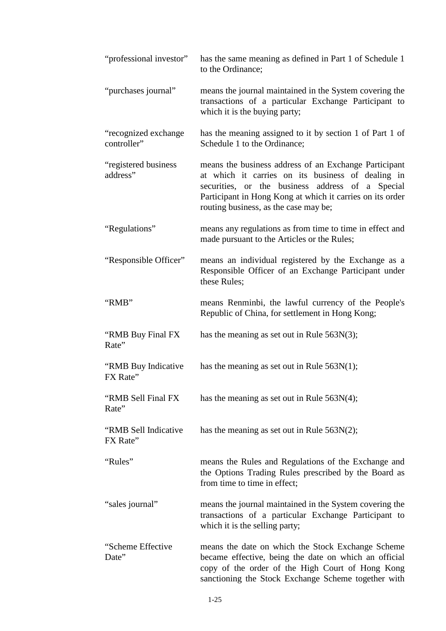| "professional investor"             | has the same meaning as defined in Part 1 of Schedule 1<br>to the Ordinance;                                                                                                                                                                                         |
|-------------------------------------|----------------------------------------------------------------------------------------------------------------------------------------------------------------------------------------------------------------------------------------------------------------------|
| "purchases journal"                 | means the journal maintained in the System covering the<br>transactions of a particular Exchange Participant to<br>which it is the buying party;                                                                                                                     |
| "recognized exchange<br>controller" | has the meaning assigned to it by section 1 of Part 1 of<br>Schedule 1 to the Ordinance;                                                                                                                                                                             |
| "registered business<br>address"    | means the business address of an Exchange Participant<br>at which it carries on its business of dealing in<br>securities, or the business address of a Special<br>Participant in Hong Kong at which it carries on its order<br>routing business, as the case may be; |
| "Regulations"                       | means any regulations as from time to time in effect and<br>made pursuant to the Articles or the Rules;                                                                                                                                                              |
| "Responsible Officer"               | means an individual registered by the Exchange as a<br>Responsible Officer of an Exchange Participant under<br>these Rules;                                                                                                                                          |
| "RMB"                               | means Renminbi, the lawful currency of the People's<br>Republic of China, for settlement in Hong Kong;                                                                                                                                                               |
| "RMB Buy Final FX<br>Rate"          | has the meaning as set out in Rule $563N(3)$ ;                                                                                                                                                                                                                       |
| "RMB Buy Indicative"<br>FX Rate"    | has the meaning as set out in Rule $563N(1)$ ;                                                                                                                                                                                                                       |
| "RMB Sell Final FX<br>Rate"         | has the meaning as set out in Rule $563N(4)$ ;                                                                                                                                                                                                                       |
| "RMB Sell Indicative<br>FX Rate"    | has the meaning as set out in Rule $563N(2)$ ;                                                                                                                                                                                                                       |
| "Rules"                             | means the Rules and Regulations of the Exchange and<br>the Options Trading Rules prescribed by the Board as<br>from time to time in effect;                                                                                                                          |
| "sales journal"                     | means the journal maintained in the System covering the<br>transactions of a particular Exchange Participant to<br>which it is the selling party;                                                                                                                    |
| "Scheme Effective<br>Date"          | means the date on which the Stock Exchange Scheme<br>became effective, being the date on which an official<br>copy of the order of the High Court of Hong Kong<br>sanctioning the Stock Exchange Scheme together with                                                |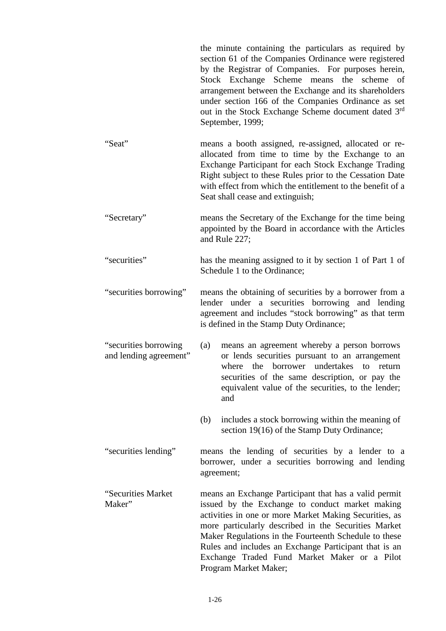the minute containing the particulars as required by section 61 of the Companies Ordinance were registered by the Registrar of Companies. For purposes herein, Stock Exchange Scheme means the scheme of arrangement between the Exchange and its shareholders under section 166 of the Companies Ordinance as set out in the Stock Exchange Scheme document dated 3rd September, 1999;

"Seat" means a booth assigned, re-assigned, allocated or reallocated from time to time by the Exchange to an Exchange Participant for each Stock Exchange Trading Right subject to these Rules prior to the Cessation Date with effect from which the entitlement to the benefit of a Seat shall cease and extinguish;

"Secretary" means the Secretary of the Exchange for the time being appointed by the Board in accordance with the Articles and Rule 227;

"securities" has the meaning assigned to it by section 1 of Part 1 of Schedule 1 to the Ordinance;

"securities borrowing" means the obtaining of securities by a borrower from a lender under a securities borrowing and lending agreement and includes "stock borrowing" as that term is defined in the Stamp Duty Ordinance;

"securities borrowing and lending agreement" (a) means an agreement whereby a person borrows or lends securities pursuant to an arrangement where the borrower undertakes to return securities of the same description, or pay the equivalent value of the securities, to the lender; and

> (b) includes a stock borrowing within the meaning of section 19(16) of the Stamp Duty Ordinance;

"securities lending" means the lending of securities by a lender to a borrower, under a securities borrowing and lending agreement;

"Securities Market Maker" means an Exchange Participant that has a valid permit issued by the Exchange to conduct market making activities in one or more Market Making Securities, as more particularly described in the Securities Market Maker Regulations in the Fourteenth Schedule to these Rules and includes an Exchange Participant that is an Exchange Traded Fund Market Maker or a Pilot Program Market Maker;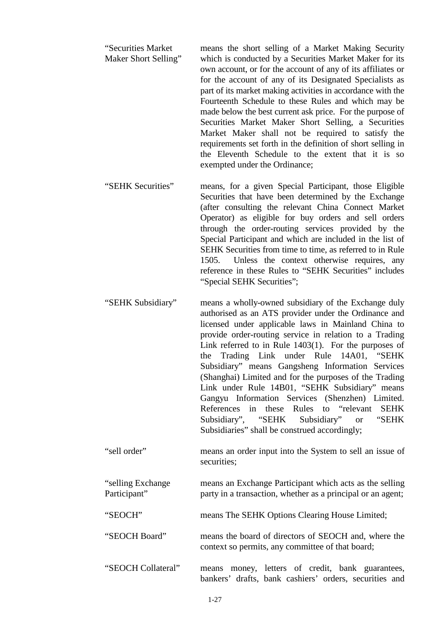- "Securities Market Maker Short Selling" means the short selling of a Market Making Security which is conducted by a Securities Market Maker for its own account, or for the account of any of its affiliates or for the account of any of its Designated Specialists as part of its market making activities in accordance with the Fourteenth Schedule to these Rules and which may be made below the best current ask price. For the purpose of Securities Market Maker Short Selling, a Securities Market Maker shall not be required to satisfy the requirements set forth in the definition of short selling in the Eleventh Schedule to the extent that it is so exempted under the Ordinance;
- "SEHK Securities" means, for a given Special Participant, those Eligible Securities that have been determined by the Exchange (after consulting the relevant China Connect Market Operator) as eligible for buy orders and sell orders through the order-routing services provided by the Special Participant and which are included in the list of SEHK Securities from time to time, as referred to in Rule 1505. Unless the context otherwise requires, any reference in these Rules to "SEHK Securities" includes "Special SEHK Securities";
- "SEHK Subsidiary" means a wholly-owned subsidiary of the Exchange duly authorised as an ATS provider under the Ordinance and licensed under applicable laws in Mainland China to provide order-routing service in relation to a Trading Link referred to in Rule 1403(1). For the purposes of the Trading Link under Rule 14A01, "SEHK Subsidiary" means Gangsheng Information Services (Shanghai) Limited and for the purposes of the Trading Link under Rule 14B01, "SEHK Subsidiary" means Gangyu Information Services (Shenzhen) Limited. References in these Rules to "relevant SEHK Subsidiary", "SEHK Subsidiary" or "SEHK Subsidiaries" shall be construed accordingly;
- "sell order" means an order input into the System to sell an issue of securities;

"selling Exchange Participant" means an Exchange Participant which acts as the selling party in a transaction, whether as a principal or an agent;

"SEOCH" means The SEHK Options Clearing House Limited;

"SEOCH Board" means the board of directors of SEOCH and, where the context so permits, any committee of that board;

"SEOCH Collateral" means money, letters of credit, bank guarantees, bankers' drafts, bank cashiers' orders, securities and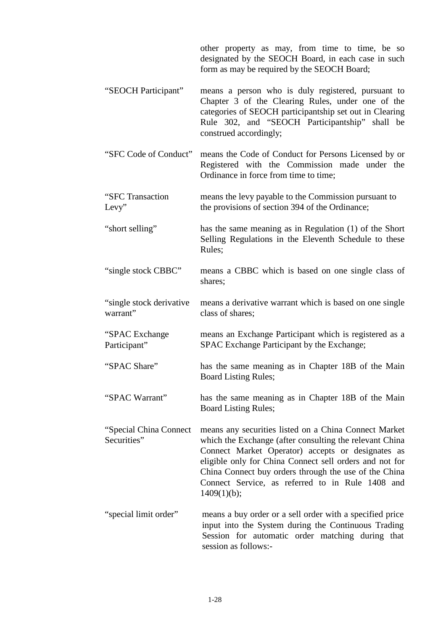|                                        | other property as may, from time to time, be so<br>designated by the SEOCH Board, in each case in such<br>form as may be required by the SEOCH Board;                                                                                                                                                                                                        |
|----------------------------------------|--------------------------------------------------------------------------------------------------------------------------------------------------------------------------------------------------------------------------------------------------------------------------------------------------------------------------------------------------------------|
| "SEOCH Participant"                    | means a person who is duly registered, pursuant to<br>Chapter 3 of the Clearing Rules, under one of the<br>categories of SEOCH participantship set out in Clearing<br>Rule 302, and "SEOCH Participantship" shall be<br>construed accordingly;                                                                                                               |
| "SFC Code of Conduct"                  | means the Code of Conduct for Persons Licensed by or<br>Registered with the Commission made under the<br>Ordinance in force from time to time;                                                                                                                                                                                                               |
| "SFC Transaction<br>Levy"              | means the levy payable to the Commission pursuant to<br>the provisions of section 394 of the Ordinance;                                                                                                                                                                                                                                                      |
| "short selling"                        | has the same meaning as in Regulation (1) of the Short<br>Selling Regulations in the Eleventh Schedule to these<br>Rules;                                                                                                                                                                                                                                    |
| "single stock CBBC"                    | means a CBBC which is based on one single class of<br>shares;                                                                                                                                                                                                                                                                                                |
| "single stock derivative"<br>warrant"  | means a derivative warrant which is based on one single<br>class of shares;                                                                                                                                                                                                                                                                                  |
| "SPAC Exchange<br>Participant"         | means an Exchange Participant which is registered as a<br>SPAC Exchange Participant by the Exchange;                                                                                                                                                                                                                                                         |
| "SPAC Share"                           | has the same meaning as in Chapter 18B of the Main<br><b>Board Listing Rules;</b>                                                                                                                                                                                                                                                                            |
| "SPAC Warrant"                         | has the same meaning as in Chapter 18B of the Main<br><b>Board Listing Rules;</b>                                                                                                                                                                                                                                                                            |
| "Special China Connect"<br>Securities" | means any securities listed on a China Connect Market<br>which the Exchange (after consulting the relevant China<br>Connect Market Operator) accepts or designates as<br>eligible only for China Connect sell orders and not for<br>China Connect buy orders through the use of the China<br>Connect Service, as referred to in Rule 1408 and<br>1409(1)(b); |
| "special limit order"                  | means a buy order or a sell order with a specified price<br>input into the System during the Continuous Trading<br>Session for automatic order matching during that<br>session as follows:-                                                                                                                                                                  |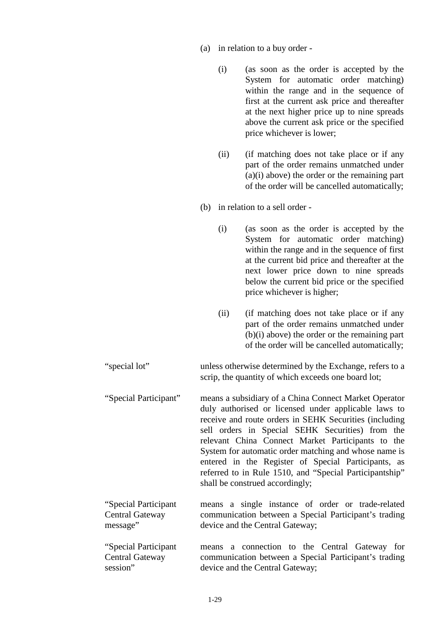- (a) in relation to a buy order
	- (i) (as soon as the order is accepted by the System for automatic order matching) within the range and in the sequence of first at the current ask price and thereafter at the next higher price up to nine spreads above the current ask price or the specified price whichever is lower;
	- (ii) (if matching does not take place or if any part of the order remains unmatched under (a)(i) above) the order or the remaining part of the order will be cancelled automatically;
- (b) in relation to a sell order
	- (i) (as soon as the order is accepted by the System for automatic order matching) within the range and in the sequence of first at the current bid price and thereafter at the next lower price down to nine spreads below the current bid price or the specified price whichever is higher;
	- (ii) (if matching does not take place or if any part of the order remains unmatched under (b)(i) above) the order or the remaining part of the order will be cancelled automatically;
- "special lot" unless otherwise determined by the Exchange, refers to a scrip, the quantity of which exceeds one board lot;
- "Special Participant" means a subsidiary of a China Connect Market Operator duly authorised or licensed under applicable laws to receive and route orders in SEHK Securities (including sell orders in Special SEHK Securities) from the relevant China Connect Market Participants to the System for automatic order matching and whose name is entered in the Register of Special Participants, as referred to in Rule 1510, and "Special Participantship" shall be construed accordingly;
- "Special Participant Central Gateway message" means a single instance of order or trade-related communication between a Special Participant's trading device and the Central Gateway;

"Special Participant Central Gateway session" means a connection to the Central Gateway for communication between a Special Participant's trading device and the Central Gateway;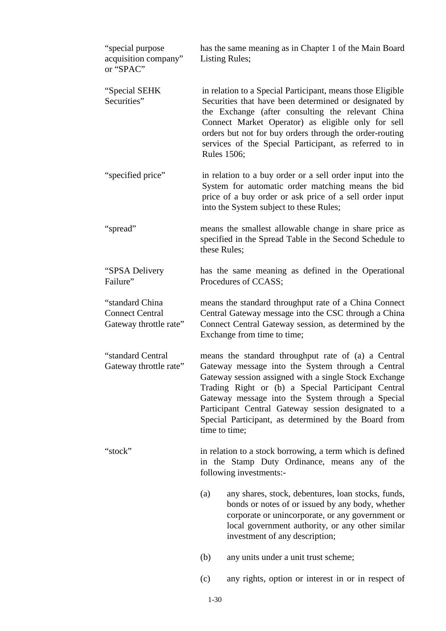| "special purpose<br>acquisition company"<br>or "SPAC"               | has the same meaning as in Chapter 1 of the Main Board<br><b>Listing Rules;</b>                                                                                                                                                                                                                                                                                                                              |  |
|---------------------------------------------------------------------|--------------------------------------------------------------------------------------------------------------------------------------------------------------------------------------------------------------------------------------------------------------------------------------------------------------------------------------------------------------------------------------------------------------|--|
| "Special SEHK<br>Securities"                                        | in relation to a Special Participant, means those Eligible<br>Securities that have been determined or designated by<br>the Exchange (after consulting the relevant China<br>Connect Market Operator) as eligible only for sell<br>orders but not for buy orders through the order-routing<br>services of the Special Participant, as referred to in<br><b>Rules 1506;</b>                                    |  |
| "specified price"                                                   | in relation to a buy order or a sell order input into the<br>System for automatic order matching means the bid<br>price of a buy order or ask price of a sell order input<br>into the System subject to these Rules;                                                                                                                                                                                         |  |
| "spread"                                                            | means the smallest allowable change in share price as<br>specified in the Spread Table in the Second Schedule to<br>these Rules;                                                                                                                                                                                                                                                                             |  |
| "SPSA Delivery<br>Failure"                                          | has the same meaning as defined in the Operational<br>Procedures of CCASS;                                                                                                                                                                                                                                                                                                                                   |  |
| "standard China<br><b>Connect Central</b><br>Gateway throttle rate" | means the standard throughput rate of a China Connect<br>Central Gateway message into the CSC through a China<br>Connect Central Gateway session, as determined by the<br>Exchange from time to time;                                                                                                                                                                                                        |  |
| "standard Central<br>Gateway throttle rate"                         | means the standard throughput rate of (a) a Central<br>Gateway message into the System through a Central<br>Gateway session assigned with a single Stock Exchange<br>Trading Right or (b) a Special Participant Central<br>Gateway message into the System through a Special<br>Participant Central Gateway session designated to a<br>Special Participant, as determined by the Board from<br>time to time; |  |
| "stock"                                                             | in relation to a stock borrowing, a term which is defined<br>in the Stamp Duty Ordinance, means any of the<br>following investments:-                                                                                                                                                                                                                                                                        |  |
|                                                                     | (a)<br>any shares, stock, debentures, loan stocks, funds,<br>bonds or notes of or issued by any body, whether<br>corporate or unincorporate, or any government or<br>local government authority, or any other similar<br>investment of any description;                                                                                                                                                      |  |
|                                                                     | (b)<br>any units under a unit trust scheme;                                                                                                                                                                                                                                                                                                                                                                  |  |
|                                                                     | any rights, option or interest in or in respect of<br>(c)                                                                                                                                                                                                                                                                                                                                                    |  |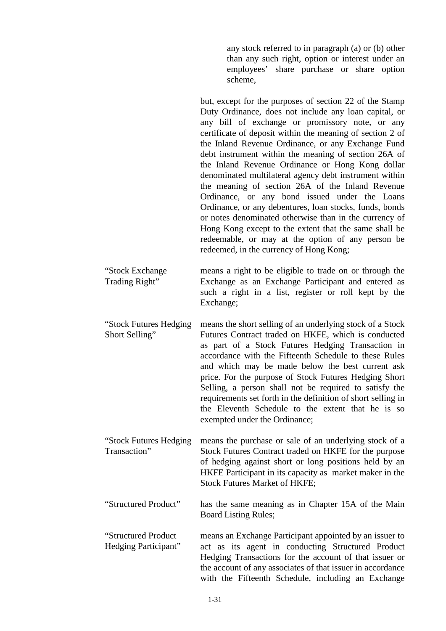any stock referred to in paragraph (a) or (b) other than any such right, option or interest under an employees' share purchase or share option scheme,

but, except for the purposes of section 22 of the Stamp Duty Ordinance, does not include any loan capital, or any bill of exchange or promissory note, or any certificate of deposit within the meaning of section 2 of the Inland Revenue Ordinance, or any Exchange Fund debt instrument within the meaning of section 26A of the Inland Revenue Ordinance or Hong Kong dollar denominated multilateral agency debt instrument within the meaning of section 26A of the Inland Revenue Ordinance, or any bond issued under the Loans Ordinance, or any debentures, loan stocks, funds, bonds or notes denominated otherwise than in the currency of Hong Kong except to the extent that the same shall be redeemable, or may at the option of any person be redeemed, in the currency of Hong Kong;

"Stock Exchange Trading Right" means a right to be eligible to trade on or through the Exchange as an Exchange Participant and entered as such a right in a list, register or roll kept by the Exchange;

- "Stock Futures Hedging Short Selling" means the short selling of an underlying stock of a Stock Futures Contract traded on HKFE, which is conducted as part of a Stock Futures Hedging Transaction in accordance with the Fifteenth Schedule to these Rules and which may be made below the best current ask price. For the purpose of Stock Futures Hedging Short Selling, a person shall not be required to satisfy the requirements set forth in the definition of short selling in the Eleventh Schedule to the extent that he is so exempted under the Ordinance;
- "Stock Futures Hedging Transaction" means the purchase or sale of an underlying stock of a Stock Futures Contract traded on HKFE for the purpose of hedging against short or long positions held by an HKFE Participant in its capacity as market maker in the Stock Futures Market of HKFE;

"Structured Product" has the same meaning as in Chapter 15A of the Main Board Listing Rules;

"Structured Product Hedging Participant" means an Exchange Participant appointed by an issuer to act as its agent in conducting Structured Product Hedging Transactions for the account of that issuer or the account of any associates of that issuer in accordance with the Fifteenth Schedule, including an Exchange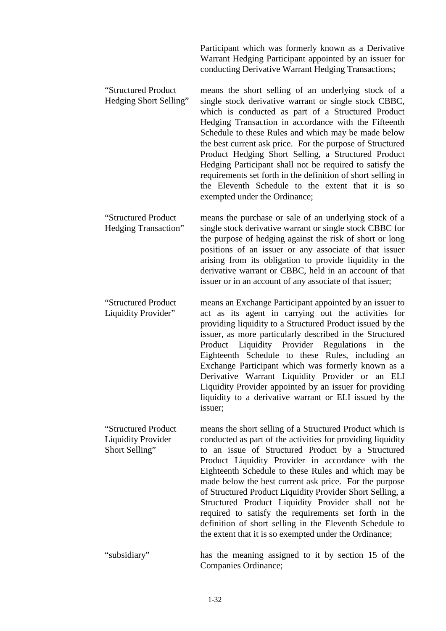Participant which was formerly known as a Derivative Warrant Hedging Participant appointed by an issuer for conducting Derivative Warrant Hedging Transactions;

- "Structured Product Hedging Short Selling" means the short selling of an underlying stock of a single stock derivative warrant or single stock CBBC, which is conducted as part of a Structured Product Hedging Transaction in accordance with the Fifteenth Schedule to these Rules and which may be made below the best current ask price. For the purpose of Structured Product Hedging Short Selling, a Structured Product Hedging Participant shall not be required to satisfy the requirements set forth in the definition of short selling in the Eleventh Schedule to the extent that it is so exempted under the Ordinance;
- "Structured Product Hedging Transaction" means the purchase or sale of an underlying stock of a single stock derivative warrant or single stock CBBC for the purpose of hedging against the risk of short or long positions of an issuer or any associate of that issuer arising from its obligation to provide liquidity in the derivative warrant or CBBC, held in an account of that issuer or in an account of any associate of that issuer;
- "Structured Product Liquidity Provider" means an Exchange Participant appointed by an issuer to act as its agent in carrying out the activities for providing liquidity to a Structured Product issued by the issuer, as more particularly described in the Structured Product Liquidity Provider Regulations in the Eighteenth Schedule to these Rules, including an Exchange Participant which was formerly known as a Derivative Warrant Liquidity Provider or an ELI Liquidity Provider appointed by an issuer for providing liquidity to a derivative warrant or ELI issued by the issuer;
- "Structured Product Liquidity Provider Short Selling" means the short selling of a Structured Product which is conducted as part of the activities for providing liquidity to an issue of Structured Product by a Structured Product Liquidity Provider in accordance with the Eighteenth Schedule to these Rules and which may be made below the best current ask price. For the purpose of Structured Product Liquidity Provider Short Selling, a Structured Product Liquidity Provider shall not be required to satisfy the requirements set forth in the definition of short selling in the Eleventh Schedule to the extent that it is so exempted under the Ordinance;
- "subsidiary" has the meaning assigned to it by section 15 of the Companies Ordinance;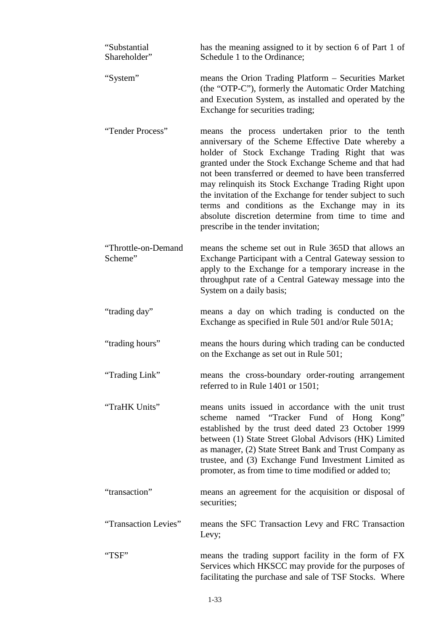| "Substantial<br>Shareholder"   | has the meaning assigned to it by section 6 of Part 1 of<br>Schedule 1 to the Ordinance;                                                                                                                                                                                                                                                                                                                                                                                                                                                          |
|--------------------------------|---------------------------------------------------------------------------------------------------------------------------------------------------------------------------------------------------------------------------------------------------------------------------------------------------------------------------------------------------------------------------------------------------------------------------------------------------------------------------------------------------------------------------------------------------|
| "System"                       | means the Orion Trading Platform – Securities Market<br>(the "OTP-C"), formerly the Automatic Order Matching<br>and Execution System, as installed and operated by the<br>Exchange for securities trading;                                                                                                                                                                                                                                                                                                                                        |
| "Tender Process"               | means the process undertaken prior to the tenth<br>anniversary of the Scheme Effective Date whereby a<br>holder of Stock Exchange Trading Right that was<br>granted under the Stock Exchange Scheme and that had<br>not been transferred or deemed to have been transferred<br>may relinquish its Stock Exchange Trading Right upon<br>the invitation of the Exchange for tender subject to such<br>terms and conditions as the Exchange may in its<br>absolute discretion determine from time to time and<br>prescribe in the tender invitation; |
| "Throttle-on-Demand<br>Scheme" | means the scheme set out in Rule 365D that allows an<br>Exchange Participant with a Central Gateway session to<br>apply to the Exchange for a temporary increase in the<br>throughput rate of a Central Gateway message into the<br>System on a daily basis;                                                                                                                                                                                                                                                                                      |
| "trading day"                  | means a day on which trading is conducted on the<br>Exchange as specified in Rule 501 and/or Rule 501A;                                                                                                                                                                                                                                                                                                                                                                                                                                           |
| "trading hours"                | means the hours during which trading can be conducted<br>on the Exchange as set out in Rule 501;                                                                                                                                                                                                                                                                                                                                                                                                                                                  |
| "Trading Link"                 | means the cross-boundary order-routing arrangement<br>referred to in Rule 1401 or 1501;                                                                                                                                                                                                                                                                                                                                                                                                                                                           |
| "TraHK Units"                  | means units issued in accordance with the unit trust<br>scheme named "Tracker Fund of Hong Kong"<br>established by the trust deed dated 23 October 1999<br>between (1) State Street Global Advisors (HK) Limited<br>as manager, (2) State Street Bank and Trust Company as<br>trustee, and (3) Exchange Fund Investment Limited as<br>promoter, as from time to time modified or added to;                                                                                                                                                        |
| "transaction"                  | means an agreement for the acquisition or disposal of<br>securities;                                                                                                                                                                                                                                                                                                                                                                                                                                                                              |
| "Transaction Levies"           | means the SFC Transaction Levy and FRC Transaction<br>Levy;                                                                                                                                                                                                                                                                                                                                                                                                                                                                                       |
| "TSF"                          | means the trading support facility in the form of FX<br>Services which HKSCC may provide for the purposes of<br>facilitating the purchase and sale of TSF Stocks. Where                                                                                                                                                                                                                                                                                                                                                                           |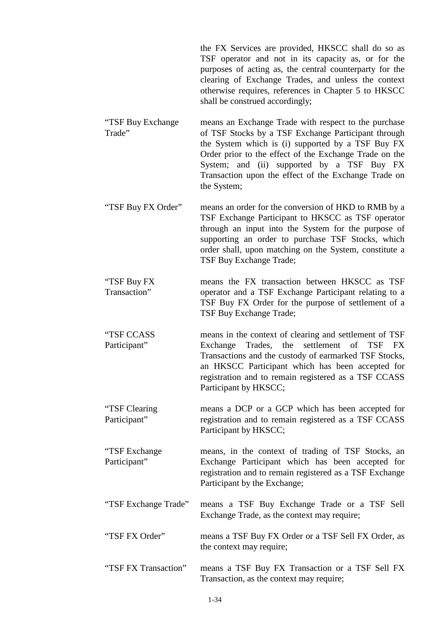the FX Services are provided, HKSCC shall do so as TSF operator and not in its capacity as, or for the purposes of acting as, the central counterparty for the clearing of Exchange Trades, and unless the context otherwise requires, references in Chapter 5 to HKSCC shall be construed accordingly;

- "TSF Buy Exchange Trade" means an Exchange Trade with respect to the purchase of TSF Stocks by a TSF Exchange Participant through the System which is (i) supported by a TSF Buy FX Order prior to the effect of the Exchange Trade on the System; and (ii) supported by a TSF Buy FX Transaction upon the effect of the Exchange Trade on the System;
- "TSF Buy FX Order" means an order for the conversion of HKD to RMB by a TSF Exchange Participant to HKSCC as TSF operator through an input into the System for the purpose of supporting an order to purchase TSF Stocks, which order shall, upon matching on the System, constitute a TSF Buy Exchange Trade;
- "TSF Buy FX Transaction" means the FX transaction between HKSCC as TSF operator and a TSF Exchange Participant relating to a TSF Buy FX Order for the purpose of settlement of a TSF Buy Exchange Trade;
- "TSF CCASS Participant" means in the context of clearing and settlement of TSF Exchange Trades, the settlement of TSF FX Transactions and the custody of earmarked TSF Stocks, an HKSCC Participant which has been accepted for registration and to remain registered as a TSF CCASS Participant by HKSCC;
- "TSF Clearing Participant" means a DCP or a GCP which has been accepted for registration and to remain registered as a TSF CCASS Participant by HKSCC;
- "TSF Exchange Participant" means, in the context of trading of TSF Stocks, an Exchange Participant which has been accepted for registration and to remain registered as a TSF Exchange Participant by the Exchange;
- "TSF Exchange Trade" means a TSF Buy Exchange Trade or a TSF Sell Exchange Trade, as the context may require;
- "TSF FX Order" means a TSF Buy FX Order or a TSF Sell FX Order, as the context may require;
- "TSF FX Transaction" means a TSF Buy FX Transaction or a TSF Sell FX Transaction, as the context may require;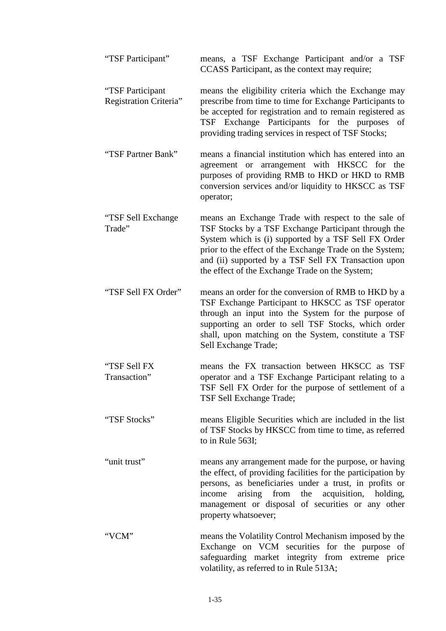| "TSF Participant"                          | means, a TSF Exchange Participant and/or a TSF<br>CCASS Participant, as the context may require;                                                                                                                                                                                                                                           |
|--------------------------------------------|--------------------------------------------------------------------------------------------------------------------------------------------------------------------------------------------------------------------------------------------------------------------------------------------------------------------------------------------|
| "TSF Participant<br>Registration Criteria" | means the eligibility criteria which the Exchange may<br>prescribe from time to time for Exchange Participants to<br>be accepted for registration and to remain registered as<br>TSF Exchange Participants for the purposes<br>of<br>providing trading services in respect of TSF Stocks;                                                  |
| "TSF Partner Bank"                         | means a financial institution which has entered into an<br>agreement or arrangement with HKSCC for the<br>purposes of providing RMB to HKD or HKD to RMB<br>conversion services and/or liquidity to HKSCC as TSF<br>operator;                                                                                                              |
| "TSF Sell Exchange<br>Trade"               | means an Exchange Trade with respect to the sale of<br>TSF Stocks by a TSF Exchange Participant through the<br>System which is (i) supported by a TSF Sell FX Order<br>prior to the effect of the Exchange Trade on the System;<br>and (ii) supported by a TSF Sell FX Transaction upon<br>the effect of the Exchange Trade on the System; |
| "TSF Sell FX Order"                        | means an order for the conversion of RMB to HKD by a<br>TSF Exchange Participant to HKSCC as TSF operator<br>through an input into the System for the purpose of<br>supporting an order to sell TSF Stocks, which order<br>shall, upon matching on the System, constitute a TSF<br>Sell Exchange Trade;                                    |
| "TSF Sell FX<br>Transaction"               | means the FX transaction between HKSCC as TSF<br>operator and a TSF Exchange Participant relating to a<br>TSF Sell FX Order for the purpose of settlement of a<br>TSF Sell Exchange Trade;                                                                                                                                                 |
| "TSF Stocks"                               | means Eligible Securities which are included in the list<br>of TSF Stocks by HKSCC from time to time, as referred<br>to in Rule 563I;                                                                                                                                                                                                      |
| "unit trust"                               | means any arrangement made for the purpose, or having<br>the effect, of providing facilities for the participation by<br>persons, as beneficiaries under a trust, in profits or<br>arising from the acquisition, holding,<br>income<br>management or disposal of securities or any other<br>property whatsoever;                           |
| "VCM"                                      | means the Volatility Control Mechanism imposed by the<br>Exchange on VCM securities for the purpose of<br>safeguarding market integrity from extreme price<br>volatility, as referred to in Rule 513A;                                                                                                                                     |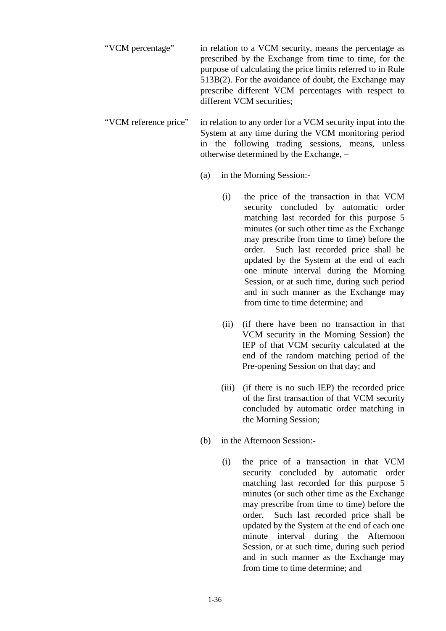"VCM percentage" in relation to a VCM security, means the percentage as prescribed by the Exchange from time to time, for the purpose of calculating the price limits referred to in Rule 513B(2). For the avoidance of doubt, the Exchange may prescribe different VCM percentages with respect to different VCM securities;

"VCM reference price" in relation to any order for a VCM security input into the System at any time during the VCM monitoring period in the following trading sessions, means, unless otherwise determined by the Exchange, –

- (a) in the Morning Session:-
	- (i) the price of the transaction in that VCM security concluded by automatic order matching last recorded for this purpose 5 minutes (or such other time as the Exchange may prescribe from time to time) before the order. Such last recorded price shall be updated by the System at the end of each one minute interval during the Morning Session, or at such time, during such period and in such manner as the Exchange may from time to time determine; and
	- (ii) (if there have been no transaction in that VCM security in the Morning Session) the IEP of that VCM security calculated at the end of the random matching period of the Pre-opening Session on that day; and
	- (iii) (if there is no such IEP) the recorded price of the first transaction of that VCM security concluded by automatic order matching in the Morning Session;
- (b) in the Afternoon Session:-
	- (i) the price of a transaction in that VCM security concluded by automatic order matching last recorded for this purpose 5 minutes (or such other time as the Exchange may prescribe from time to time) before the order. Such last recorded price shall be updated by the System at the end of each one minute interval during the Afternoon Session, or at such time, during such period and in such manner as the Exchange may from time to time determine; and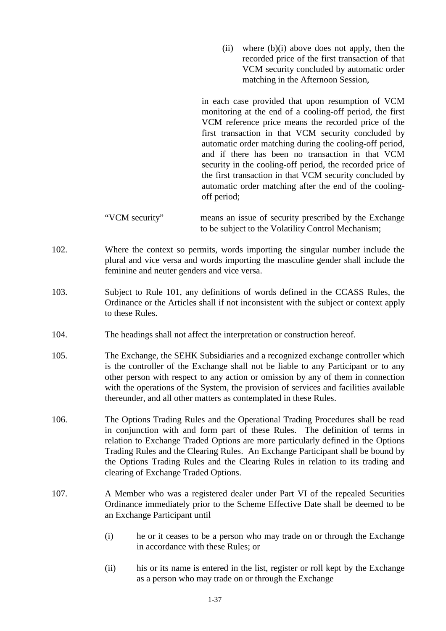(ii) where (b)(i) above does not apply, then the recorded price of the first transaction of that VCM security concluded by automatic order matching in the Afternoon Session,

in each case provided that upon resumption of VCM monitoring at the end of a cooling-off period, the first VCM reference price means the recorded price of the first transaction in that VCM security concluded by automatic order matching during the cooling-off period, and if there has been no transaction in that VCM security in the cooling-off period, the recorded price of the first transaction in that VCM security concluded by automatic order matching after the end of the coolingoff period;

- 102. Where the context so permits, words importing the singular number include the plural and vice versa and words importing the masculine gender shall include the feminine and neuter genders and vice versa.
- 103. Subject to Rule 101, any definitions of words defined in the CCASS Rules, the Ordinance or the Articles shall if not inconsistent with the subject or context apply to these Rules.
- 104. The headings shall not affect the interpretation or construction hereof.
- 105. The Exchange, the SEHK Subsidiaries and a recognized exchange controller which is the controller of the Exchange shall not be liable to any Participant or to any other person with respect to any action or omission by any of them in connection with the operations of the System, the provision of services and facilities available thereunder, and all other matters as contemplated in these Rules.
- 106. The Options Trading Rules and the Operational Trading Procedures shall be read in conjunction with and form part of these Rules. The definition of terms in relation to Exchange Traded Options are more particularly defined in the Options Trading Rules and the Clearing Rules. An Exchange Participant shall be bound by the Options Trading Rules and the Clearing Rules in relation to its trading and clearing of Exchange Traded Options.
- 107. A Member who was a registered dealer under Part VI of the repealed Securities Ordinance immediately prior to the Scheme Effective Date shall be deemed to be an Exchange Participant until
	- (i) he or it ceases to be a person who may trade on or through the Exchange in accordance with these Rules; or
	- (ii) his or its name is entered in the list, register or roll kept by the Exchange as a person who may trade on or through the Exchange

<sup>&</sup>quot;VCM security" means an issue of security prescribed by the Exchange to be subject to the Volatility Control Mechanism;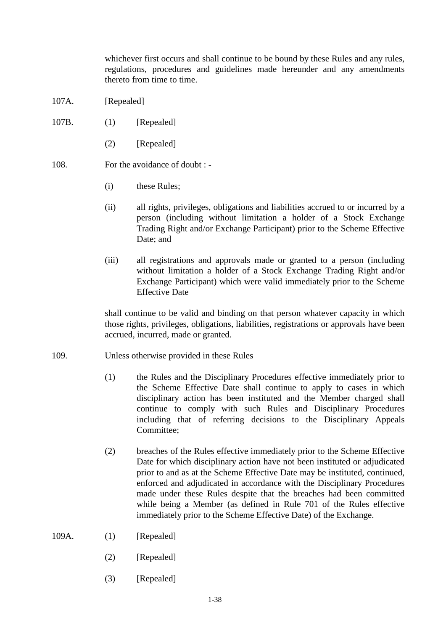whichever first occurs and shall continue to be bound by these Rules and any rules, regulations, procedures and guidelines made hereunder and any amendments thereto from time to time.

- 107A. [Repealed]
- 107B. (1) [Repealed]
	- (2) [Repealed]
- 108. For the avoidance of doubt :
	- (i) these Rules;
	- (ii) all rights, privileges, obligations and liabilities accrued to or incurred by a person (including without limitation a holder of a Stock Exchange Trading Right and/or Exchange Participant) prior to the Scheme Effective Date; and
	- (iii) all registrations and approvals made or granted to a person (including without limitation a holder of a Stock Exchange Trading Right and/or Exchange Participant) which were valid immediately prior to the Scheme Effective Date

shall continue to be valid and binding on that person whatever capacity in which those rights, privileges, obligations, liabilities, registrations or approvals have been accrued, incurred, made or granted.

- 109. Unless otherwise provided in these Rules
	- (1) the Rules and the Disciplinary Procedures effective immediately prior to the Scheme Effective Date shall continue to apply to cases in which disciplinary action has been instituted and the Member charged shall continue to comply with such Rules and Disciplinary Procedures including that of referring decisions to the Disciplinary Appeals Committee;
	- (2) breaches of the Rules effective immediately prior to the Scheme Effective Date for which disciplinary action have not been instituted or adjudicated prior to and as at the Scheme Effective Date may be instituted, continued, enforced and adjudicated in accordance with the Disciplinary Procedures made under these Rules despite that the breaches had been committed while being a Member (as defined in Rule 701 of the Rules effective immediately prior to the Scheme Effective Date) of the Exchange.
- 109A. (1) [Repealed]
	- (2) [Repealed]
	- (3) [Repealed]